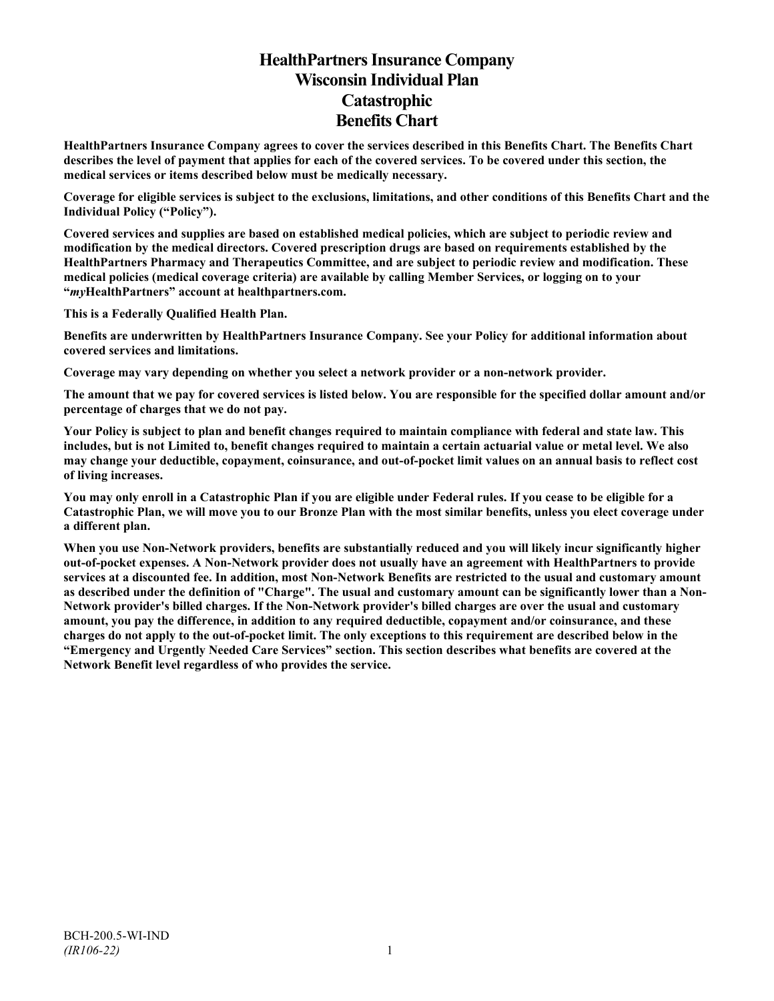# **HealthPartners Insurance Company Wisconsin Individual Plan Catastrophic Benefits Chart**

**HealthPartners Insurance Company agrees to cover the services described in this Benefits Chart. The Benefits Chart describes the level of payment that applies for each of the covered services. To be covered under this section, the medical services or items described below must be medically necessary.**

**Coverage for eligible services is subject to the exclusions, limitations, and other conditions of this Benefits Chart and the Individual Policy ("Policy").**

**Covered services and supplies are based on established medical policies, which are subject to periodic review and modification by the medical directors. Covered prescription drugs are based on requirements established by the HealthPartners Pharmacy and Therapeutics Committee, and are subject to periodic review and modification. These medical policies (medical coverage criteria) are available by calling Member Services, or logging on to your "***my***HealthPartners" account at [healthpartners.com.](http://www.healthpartners.com/)**

**This is a Federally Qualified Health Plan.**

**Benefits are underwritten by HealthPartners Insurance Company. See your Policy for additional information about covered services and limitations.**

**Coverage may vary depending on whether you select a network provider or a non-network provider.**

**The amount that we pay for covered services is listed below. You are responsible for the specified dollar amount and/or percentage of charges that we do not pay.**

**Your Policy is subject to plan and benefit changes required to maintain compliance with federal and state law. This includes, but is not Limited to, benefit changes required to maintain a certain actuarial value or metal level. We also may change your deductible, copayment, coinsurance, and out-of-pocket limit values on an annual basis to reflect cost of living increases.**

**You may only enroll in a Catastrophic Plan if you are eligible under Federal rules. If you cease to be eligible for a Catastrophic Plan, we will move you to our Bronze Plan with the most similar benefits, unless you elect coverage under a different plan.**

**When you use Non-Network providers, benefits are substantially reduced and you will likely incur significantly higher out-of-pocket expenses. A Non-Network provider does not usually have an agreement with HealthPartners to provide services at a discounted fee. In addition, most Non-Network Benefits are restricted to the usual and customary amount as described under the definition of "Charge". The usual and customary amount can be significantly lower than a Non-Network provider's billed charges. If the Non-Network provider's billed charges are over the usual and customary amount, you pay the difference, in addition to any required deductible, copayment and/or coinsurance, and these charges do not apply to the out-of-pocket limit. The only exceptions to this requirement are described below in the "Emergency and Urgently Needed Care Services" section. This section describes what benefits are covered at the Network Benefit level regardless of who provides the service.**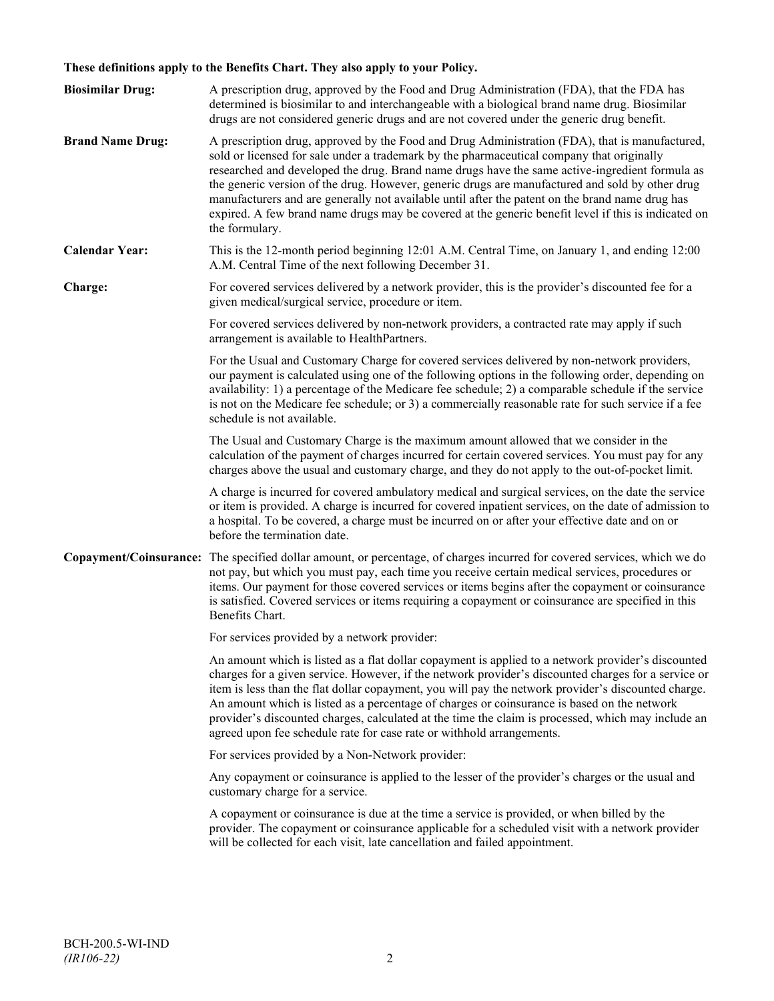# **These definitions apply to the Benefits Chart. They also apply to your Policy.**

| <b>Biosimilar Drug:</b> | A prescription drug, approved by the Food and Drug Administration (FDA), that the FDA has<br>determined is biosimilar to and interchangeable with a biological brand name drug. Biosimilar<br>drugs are not considered generic drugs and are not covered under the generic drug benefit.                                                                                                                                                                                                                                                                                                                                     |
|-------------------------|------------------------------------------------------------------------------------------------------------------------------------------------------------------------------------------------------------------------------------------------------------------------------------------------------------------------------------------------------------------------------------------------------------------------------------------------------------------------------------------------------------------------------------------------------------------------------------------------------------------------------|
| <b>Brand Name Drug:</b> | A prescription drug, approved by the Food and Drug Administration (FDA), that is manufactured,<br>sold or licensed for sale under a trademark by the pharmaceutical company that originally<br>researched and developed the drug. Brand name drugs have the same active-ingredient formula as<br>the generic version of the drug. However, generic drugs are manufactured and sold by other drug<br>manufacturers and are generally not available until after the patent on the brand name drug has<br>expired. A few brand name drugs may be covered at the generic benefit level if this is indicated on<br>the formulary. |
| <b>Calendar Year:</b>   | This is the 12-month period beginning 12:01 A.M. Central Time, on January 1, and ending 12:00<br>A.M. Central Time of the next following December 31.                                                                                                                                                                                                                                                                                                                                                                                                                                                                        |
| Charge:                 | For covered services delivered by a network provider, this is the provider's discounted fee for a<br>given medical/surgical service, procedure or item.                                                                                                                                                                                                                                                                                                                                                                                                                                                                      |
|                         | For covered services delivered by non-network providers, a contracted rate may apply if such<br>arrangement is available to HealthPartners.                                                                                                                                                                                                                                                                                                                                                                                                                                                                                  |
|                         | For the Usual and Customary Charge for covered services delivered by non-network providers,<br>our payment is calculated using one of the following options in the following order, depending on<br>availability: 1) a percentage of the Medicare fee schedule; 2) a comparable schedule if the service<br>is not on the Medicare fee schedule; or 3) a commercially reasonable rate for such service if a fee<br>schedule is not available.                                                                                                                                                                                 |
|                         | The Usual and Customary Charge is the maximum amount allowed that we consider in the<br>calculation of the payment of charges incurred for certain covered services. You must pay for any<br>charges above the usual and customary charge, and they do not apply to the out-of-pocket limit.                                                                                                                                                                                                                                                                                                                                 |
|                         | A charge is incurred for covered ambulatory medical and surgical services, on the date the service<br>or item is provided. A charge is incurred for covered inpatient services, on the date of admission to<br>a hospital. To be covered, a charge must be incurred on or after your effective date and on or<br>before the termination date.                                                                                                                                                                                                                                                                                |
|                         | Copayment/Coinsurance: The specified dollar amount, or percentage, of charges incurred for covered services, which we do<br>not pay, but which you must pay, each time you receive certain medical services, procedures or<br>items. Our payment for those covered services or items begins after the copayment or coinsurance<br>is satisfied. Covered services or items requiring a copayment or coinsurance are specified in this<br>Benefits Chart.                                                                                                                                                                      |
|                         | For services provided by a network provider:                                                                                                                                                                                                                                                                                                                                                                                                                                                                                                                                                                                 |
|                         | An amount which is listed as a flat dollar copayment is applied to a network provider's discounted<br>charges for a given service. However, if the network provider's discounted charges for a service or<br>item is less than the flat dollar copayment, you will pay the network provider's discounted charge.<br>An amount which is listed as a percentage of charges or coinsurance is based on the network<br>provider's discounted charges, calculated at the time the claim is processed, which may include an<br>agreed upon fee schedule rate for case rate or withhold arrangements.                               |
|                         | For services provided by a Non-Network provider:                                                                                                                                                                                                                                                                                                                                                                                                                                                                                                                                                                             |
|                         | Any copayment or coinsurance is applied to the lesser of the provider's charges or the usual and<br>customary charge for a service.                                                                                                                                                                                                                                                                                                                                                                                                                                                                                          |
|                         | A copayment or coinsurance is due at the time a service is provided, or when billed by the<br>provider. The copayment or coinsurance applicable for a scheduled visit with a network provider<br>will be collected for each visit, late cancellation and failed appointment.                                                                                                                                                                                                                                                                                                                                                 |
|                         |                                                                                                                                                                                                                                                                                                                                                                                                                                                                                                                                                                                                                              |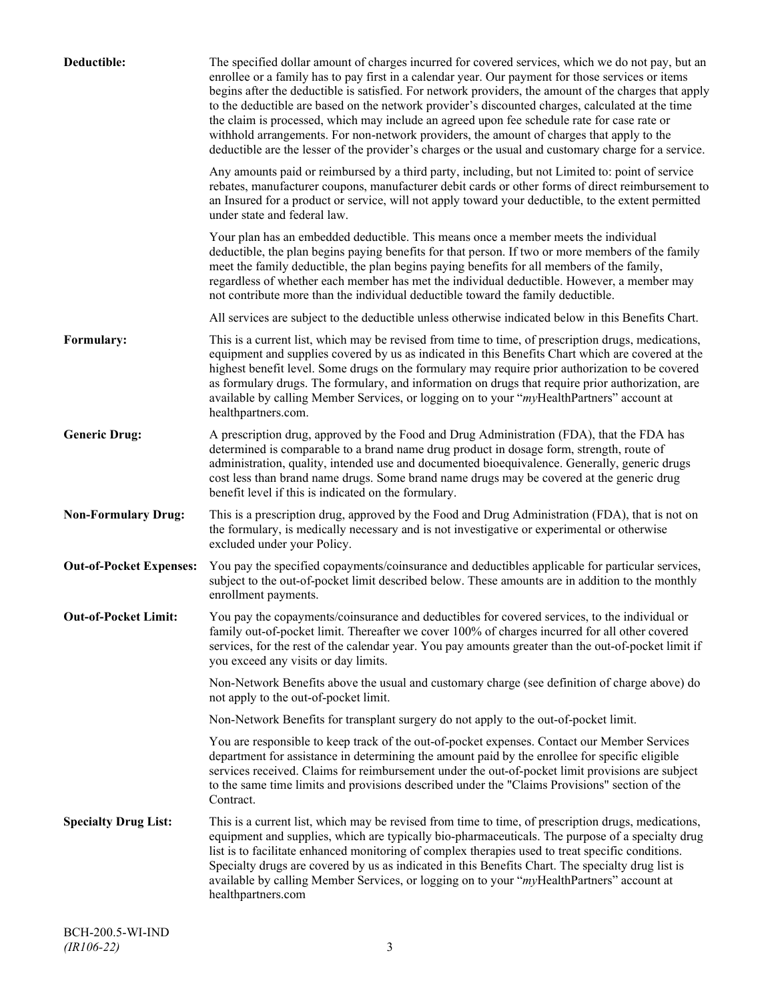| Deductible:                    | The specified dollar amount of charges incurred for covered services, which we do not pay, but an<br>enrollee or a family has to pay first in a calendar year. Our payment for those services or items<br>begins after the deductible is satisfied. For network providers, the amount of the charges that apply<br>to the deductible are based on the network provider's discounted charges, calculated at the time<br>the claim is processed, which may include an agreed upon fee schedule rate for case rate or<br>withhold arrangements. For non-network providers, the amount of charges that apply to the<br>deductible are the lesser of the provider's charges or the usual and customary charge for a service. |
|--------------------------------|-------------------------------------------------------------------------------------------------------------------------------------------------------------------------------------------------------------------------------------------------------------------------------------------------------------------------------------------------------------------------------------------------------------------------------------------------------------------------------------------------------------------------------------------------------------------------------------------------------------------------------------------------------------------------------------------------------------------------|
|                                | Any amounts paid or reimbursed by a third party, including, but not Limited to: point of service<br>rebates, manufacturer coupons, manufacturer debit cards or other forms of direct reimbursement to<br>an Insured for a product or service, will not apply toward your deductible, to the extent permitted<br>under state and federal law.                                                                                                                                                                                                                                                                                                                                                                            |
|                                | Your plan has an embedded deductible. This means once a member meets the individual<br>deductible, the plan begins paying benefits for that person. If two or more members of the family<br>meet the family deductible, the plan begins paying benefits for all members of the family,<br>regardless of whether each member has met the individual deductible. However, a member may<br>not contribute more than the individual deductible toward the family deductible.                                                                                                                                                                                                                                                |
|                                | All services are subject to the deductible unless otherwise indicated below in this Benefits Chart.                                                                                                                                                                                                                                                                                                                                                                                                                                                                                                                                                                                                                     |
| Formulary:                     | This is a current list, which may be revised from time to time, of prescription drugs, medications,<br>equipment and supplies covered by us as indicated in this Benefits Chart which are covered at the<br>highest benefit level. Some drugs on the formulary may require prior authorization to be covered<br>as formulary drugs. The formulary, and information on drugs that require prior authorization, are<br>available by calling Member Services, or logging on to your "myHealthPartners" account at<br>healthpartners.com.                                                                                                                                                                                   |
| <b>Generic Drug:</b>           | A prescription drug, approved by the Food and Drug Administration (FDA), that the FDA has<br>determined is comparable to a brand name drug product in dosage form, strength, route of<br>administration, quality, intended use and documented bioequivalence. Generally, generic drugs<br>cost less than brand name drugs. Some brand name drugs may be covered at the generic drug<br>benefit level if this is indicated on the formulary.                                                                                                                                                                                                                                                                             |
| <b>Non-Formulary Drug:</b>     | This is a prescription drug, approved by the Food and Drug Administration (FDA), that is not on<br>the formulary, is medically necessary and is not investigative or experimental or otherwise<br>excluded under your Policy.                                                                                                                                                                                                                                                                                                                                                                                                                                                                                           |
| <b>Out-of-Pocket Expenses:</b> | You pay the specified copayments/coinsurance and deductibles applicable for particular services,<br>subject to the out-of-pocket limit described below. These amounts are in addition to the monthly<br>enrollment payments.                                                                                                                                                                                                                                                                                                                                                                                                                                                                                            |
| <b>Out-of-Pocket Limit:</b>    | You pay the copayments/coinsurance and deductibles for covered services, to the individual or<br>family out-of-pocket limit. Thereafter we cover 100% of charges incurred for all other covered<br>services, for the rest of the calendar year. You pay amounts greater than the out-of-pocket limit if<br>you exceed any visits or day limits.                                                                                                                                                                                                                                                                                                                                                                         |
|                                | Non-Network Benefits above the usual and customary charge (see definition of charge above) do<br>not apply to the out-of-pocket limit.                                                                                                                                                                                                                                                                                                                                                                                                                                                                                                                                                                                  |
|                                | Non-Network Benefits for transplant surgery do not apply to the out-of-pocket limit.                                                                                                                                                                                                                                                                                                                                                                                                                                                                                                                                                                                                                                    |
|                                | You are responsible to keep track of the out-of-pocket expenses. Contact our Member Services<br>department for assistance in determining the amount paid by the enrollee for specific eligible<br>services received. Claims for reimbursement under the out-of-pocket limit provisions are subject<br>to the same time limits and provisions described under the "Claims Provisions" section of the<br>Contract.                                                                                                                                                                                                                                                                                                        |
| <b>Specialty Drug List:</b>    | This is a current list, which may be revised from time to time, of prescription drugs, medications,<br>equipment and supplies, which are typically bio-pharmaceuticals. The purpose of a specialty drug<br>list is to facilitate enhanced monitoring of complex therapies used to treat specific conditions.<br>Specialty drugs are covered by us as indicated in this Benefits Chart. The specialty drug list is<br>available by calling Member Services, or logging on to your "myHealthPartners" account at<br>healthpartners.com                                                                                                                                                                                    |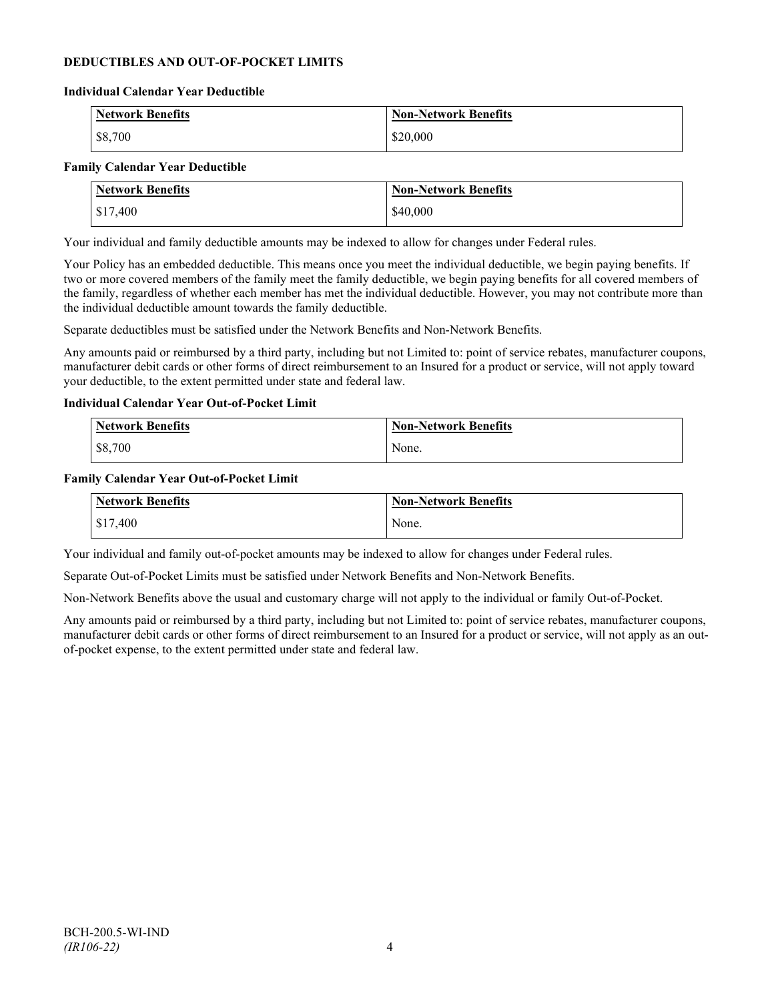### **DEDUCTIBLES AND OUT-OF-POCKET LIMITS**

#### **Individual Calendar Year Deductible**

| <b>Network Benefits</b> | <b>Non-Network Benefits</b> |
|-------------------------|-----------------------------|
| \$8,700                 | \$20,000                    |

#### **Family Calendar Year Deductible**

| <b>Network Benefits</b> | <b>Non-Network Benefits</b> |
|-------------------------|-----------------------------|
| $\frac{$17,400}{}$      | \$40,000                    |

Your individual and family deductible amounts may be indexed to allow for changes under Federal rules.

Your Policy has an embedded deductible. This means once you meet the individual deductible, we begin paying benefits. If two or more covered members of the family meet the family deductible, we begin paying benefits for all covered members of the family, regardless of whether each member has met the individual deductible. However, you may not contribute more than the individual deductible amount towards the family deductible.

Separate deductibles must be satisfied under the Network Benefits and Non-Network Benefits.

Any amounts paid or reimbursed by a third party, including but not Limited to: point of service rebates, manufacturer coupons, manufacturer debit cards or other forms of direct reimbursement to an Insured for a product or service, will not apply toward your deductible, to the extent permitted under state and federal law.

#### **Individual Calendar Year Out-of-Pocket Limit**

| Network Benefits | <b>Non-Network Benefits</b> |
|------------------|-----------------------------|
| \$8,700          | None.                       |

#### **Family Calendar Year Out-of-Pocket Limit**

| Network Benefits | Non-Network Benefits |
|------------------|----------------------|
| \$17,400         | None.                |

Your individual and family out-of-pocket amounts may be indexed to allow for changes under Federal rules.

Separate Out-of-Pocket Limits must be satisfied under Network Benefits and Non-Network Benefits.

Non-Network Benefits above the usual and customary charge will not apply to the individual or family Out-of-Pocket.

Any amounts paid or reimbursed by a third party, including but not Limited to: point of service rebates, manufacturer coupons, manufacturer debit cards or other forms of direct reimbursement to an Insured for a product or service, will not apply as an outof-pocket expense, to the extent permitted under state and federal law.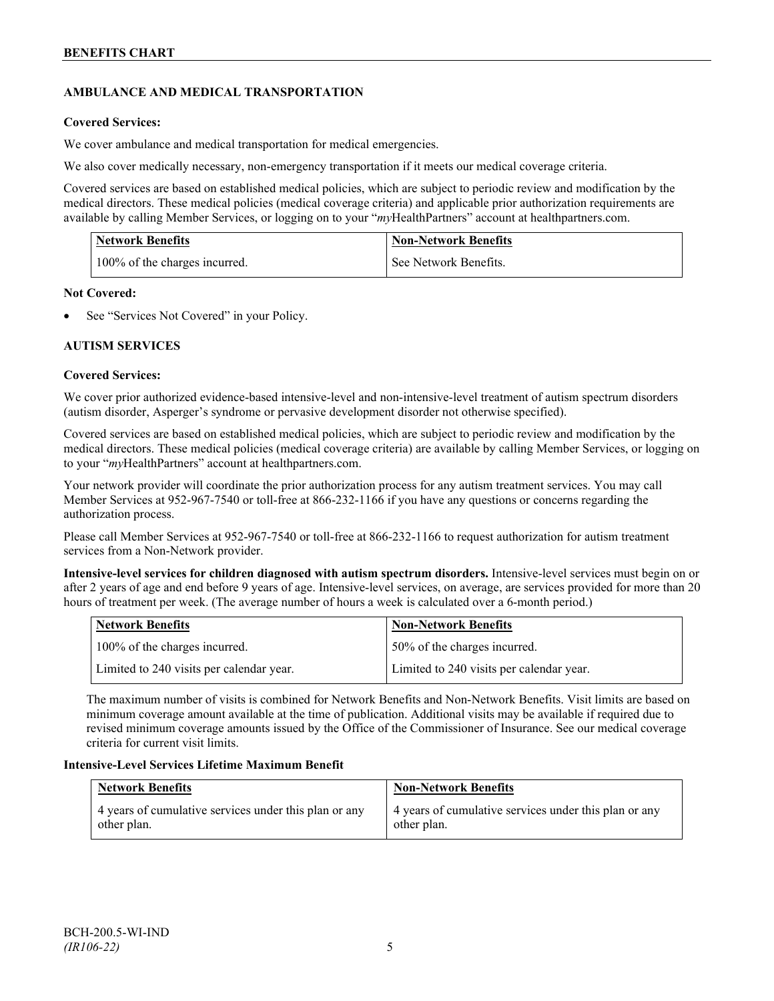# **AMBULANCE AND MEDICAL TRANSPORTATION**

### **Covered Services:**

We cover ambulance and medical transportation for medical emergencies.

We also cover medically necessary, non-emergency transportation if it meets our medical coverage criteria.

Covered services are based on established medical policies, which are subject to periodic review and modification by the medical directors. These medical policies (medical coverage criteria) and applicable prior authorization requirements are available by calling Member Services, or logging on to your "*my*HealthPartners" account a[t healthpartners.com.](http://www.healthpartners.com/)

| <b>Network Benefits</b>       | <b>Non-Network Benefits</b> |
|-------------------------------|-----------------------------|
| 100% of the charges incurred. | See Network Benefits.       |

### **Not Covered:**

See "Services Not Covered" in your Policy.

### **AUTISM SERVICES**

### **Covered Services:**

We cover prior authorized evidence-based intensive-level and non-intensive-level treatment of autism spectrum disorders (autism disorder, Asperger's syndrome or pervasive development disorder not otherwise specified).

Covered services are based on established medical policies, which are subject to periodic review and modification by the medical directors. These medical policies (medical coverage criteria) are available by calling Member Services, or logging on to your "*my*HealthPartners" account at [healthpartners.com.](http://www.healthpartners.com/)

Your network provider will coordinate the prior authorization process for any autism treatment services. You may call Member Services at 952-967-7540 or toll-free at 866-232-1166 if you have any questions or concerns regarding the authorization process.

Please call Member Services at 952-967-7540 or toll-free at 866-232-1166 to request authorization for autism treatment services from a Non-Network provider.

**Intensive-level services for children diagnosed with autism spectrum disorders.** Intensive-level services must begin on or after 2 years of age and end before 9 years of age. Intensive-level services, on average, are services provided for more than 20 hours of treatment per week. (The average number of hours a week is calculated over a 6-month period.)

| Network Benefits                         | <b>Non-Network Benefits</b>              |
|------------------------------------------|------------------------------------------|
| 100% of the charges incurred.            | 50% of the charges incurred.             |
| Limited to 240 visits per calendar year. | Limited to 240 visits per calendar year. |

The maximum number of visits is combined for Network Benefits and Non-Network Benefits. Visit limits are based on minimum coverage amount available at the time of publication. Additional visits may be available if required due to revised minimum coverage amounts issued by the Office of the Commissioner of Insurance. See our medical coverage criteria for current visit limits.

### **Intensive-Level Services Lifetime Maximum Benefit**

| <b>Network Benefits</b>                               | <b>Non-Network Benefits</b>                           |
|-------------------------------------------------------|-------------------------------------------------------|
| 4 years of cumulative services under this plan or any | 4 years of cumulative services under this plan or any |
| other plan.                                           | other plan.                                           |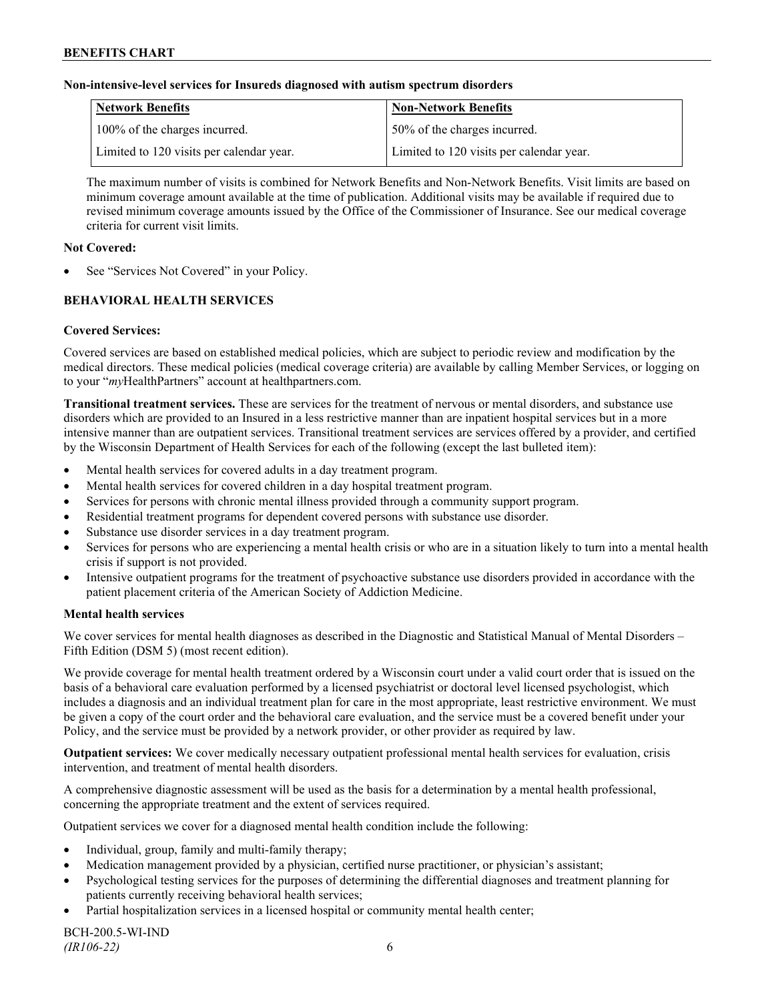### **Non-intensive-level services for Insureds diagnosed with autism spectrum disorders**

| Network Benefits                         | <b>Non-Network Benefits</b>              |
|------------------------------------------|------------------------------------------|
| 100% of the charges incurred.            | 50% of the charges incurred.             |
| Limited to 120 visits per calendar year. | Limited to 120 visits per calendar year. |

The maximum number of visits is combined for Network Benefits and Non-Network Benefits. Visit limits are based on minimum coverage amount available at the time of publication. Additional visits may be available if required due to revised minimum coverage amounts issued by the Office of the Commissioner of Insurance. See our medical coverage criteria for current visit limits.

#### **Not Covered:**

See "Services Not Covered" in your Policy.

# **BEHAVIORAL HEALTH SERVICES**

#### **Covered Services:**

Covered services are based on established medical policies, which are subject to periodic review and modification by the medical directors. These medical policies (medical coverage criteria) are available by calling Member Services, or logging on to your "*my*HealthPartners" account at [healthpartners.com.](http://www.healthpartners.com/)

**Transitional treatment services.** These are services for the treatment of nervous or mental disorders, and substance use disorders which are provided to an Insured in a less restrictive manner than are inpatient hospital services but in a more intensive manner than are outpatient services. Transitional treatment services are services offered by a provider, and certified by the Wisconsin Department of Health Services for each of the following (except the last bulleted item):

- Mental health services for covered adults in a day treatment program.
- Mental health services for covered children in a day hospital treatment program.
- Services for persons with chronic mental illness provided through a community support program.
- Residential treatment programs for dependent covered persons with substance use disorder.
- Substance use disorder services in a day treatment program.
- Services for persons who are experiencing a mental health crisis or who are in a situation likely to turn into a mental health crisis if support is not provided.
- Intensive outpatient programs for the treatment of psychoactive substance use disorders provided in accordance with the patient placement criteria of the American Society of Addiction Medicine.

#### **Mental health services**

We cover services for mental health diagnoses as described in the Diagnostic and Statistical Manual of Mental Disorders – Fifth Edition (DSM 5) (most recent edition).

We provide coverage for mental health treatment ordered by a Wisconsin court under a valid court order that is issued on the basis of a behavioral care evaluation performed by a licensed psychiatrist or doctoral level licensed psychologist, which includes a diagnosis and an individual treatment plan for care in the most appropriate, least restrictive environment. We must be given a copy of the court order and the behavioral care evaluation, and the service must be a covered benefit under your Policy, and the service must be provided by a network provider, or other provider as required by law.

**Outpatient services:** We cover medically necessary outpatient professional mental health services for evaluation, crisis intervention, and treatment of mental health disorders.

A comprehensive diagnostic assessment will be used as the basis for a determination by a mental health professional, concerning the appropriate treatment and the extent of services required.

Outpatient services we cover for a diagnosed mental health condition include the following:

- Individual, group, family and multi-family therapy;
- Medication management provided by a physician, certified nurse practitioner, or physician's assistant;
- Psychological testing services for the purposes of determining the differential diagnoses and treatment planning for patients currently receiving behavioral health services;
- Partial hospitalization services in a licensed hospital or community mental health center;

BCH-200.5-WI-IND *(IR106-22)* 6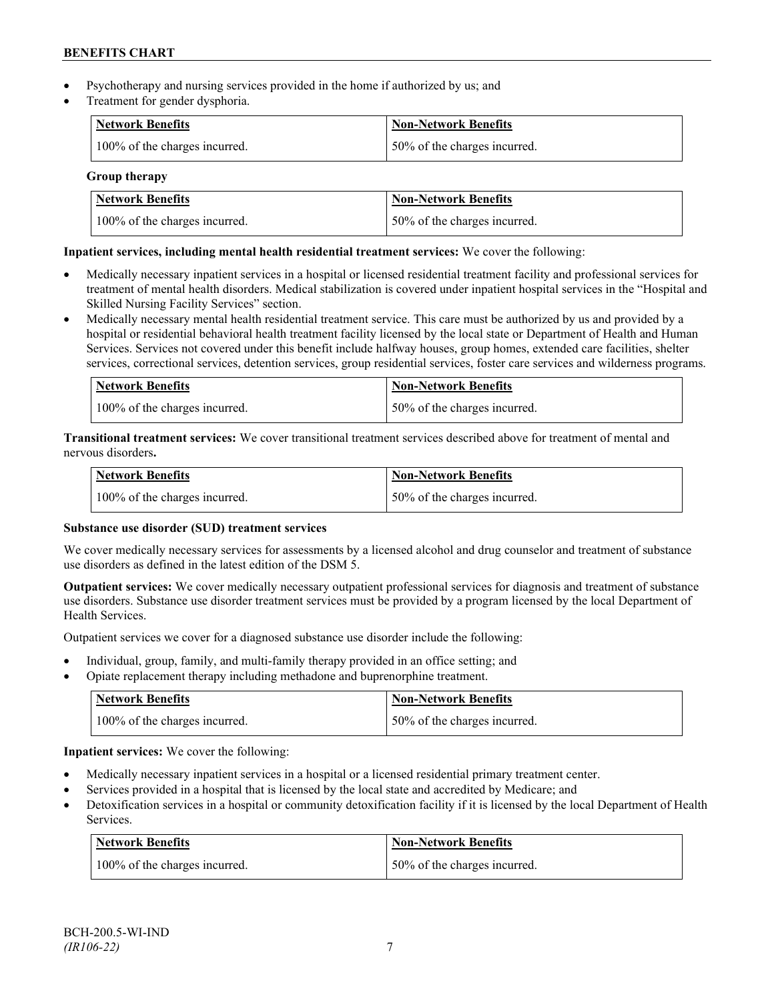- Psychotherapy and nursing services provided in the home if authorized by us; and
- Treatment for gender dysphoria.

| Network Benefits              | <b>Non-Network Benefits</b>  |
|-------------------------------|------------------------------|
| 100% of the charges incurred. | 50% of the charges incurred. |

### **Group therapy**

| <b>Network Benefits</b>       | <b>Non-Network Benefits</b>  |
|-------------------------------|------------------------------|
| 100% of the charges incurred. | 50% of the charges incurred. |

# **Inpatient services, including mental health residential treatment services:** We cover the following:

- Medically necessary inpatient services in a hospital or licensed residential treatment facility and professional services for treatment of mental health disorders. Medical stabilization is covered under inpatient hospital services in the "Hospital and Skilled Nursing Facility Services" section.
- Medically necessary mental health residential treatment service. This care must be authorized by us and provided by a hospital or residential behavioral health treatment facility licensed by the local state or Department of Health and Human Services. Services not covered under this benefit include halfway houses, group homes, extended care facilities, shelter services, correctional services, detention services, group residential services, foster care services and wilderness programs.

| Network Benefits              | Non-Network Benefits         |
|-------------------------------|------------------------------|
| 100% of the charges incurred. | 50% of the charges incurred. |

**Transitional treatment services:** We cover transitional treatment services described above for treatment of mental and nervous disorders**.**

| Network Benefits              | Non-Network Benefits         |
|-------------------------------|------------------------------|
| 100% of the charges incurred. | 50% of the charges incurred. |

# **Substance use disorder (SUD) treatment services**

We cover medically necessary services for assessments by a licensed alcohol and drug counselor and treatment of substance use disorders as defined in the latest edition of the DSM 5.

**Outpatient services:** We cover medically necessary outpatient professional services for diagnosis and treatment of substance use disorders. Substance use disorder treatment services must be provided by a program licensed by the local Department of Health Services.

Outpatient services we cover for a diagnosed substance use disorder include the following:

- Individual, group, family, and multi-family therapy provided in an office setting; and
- Opiate replacement therapy including methadone and buprenorphine treatment.

| <b>Network Benefits</b>       | <b>Non-Network Benefits</b>   |
|-------------------------------|-------------------------------|
| 100% of the charges incurred. | 150% of the charges incurred. |

**Inpatient services:** We cover the following:

- Medically necessary inpatient services in a hospital or a licensed residential primary treatment center.
- Services provided in a hospital that is licensed by the local state and accredited by Medicare; and
- Detoxification services in a hospital or community detoxification facility if it is licensed by the local Department of Health Services.

| <b>Network Benefits</b>       | <b>Non-Network Benefits</b>  |
|-------------------------------|------------------------------|
| 100% of the charges incurred. | 50% of the charges incurred. |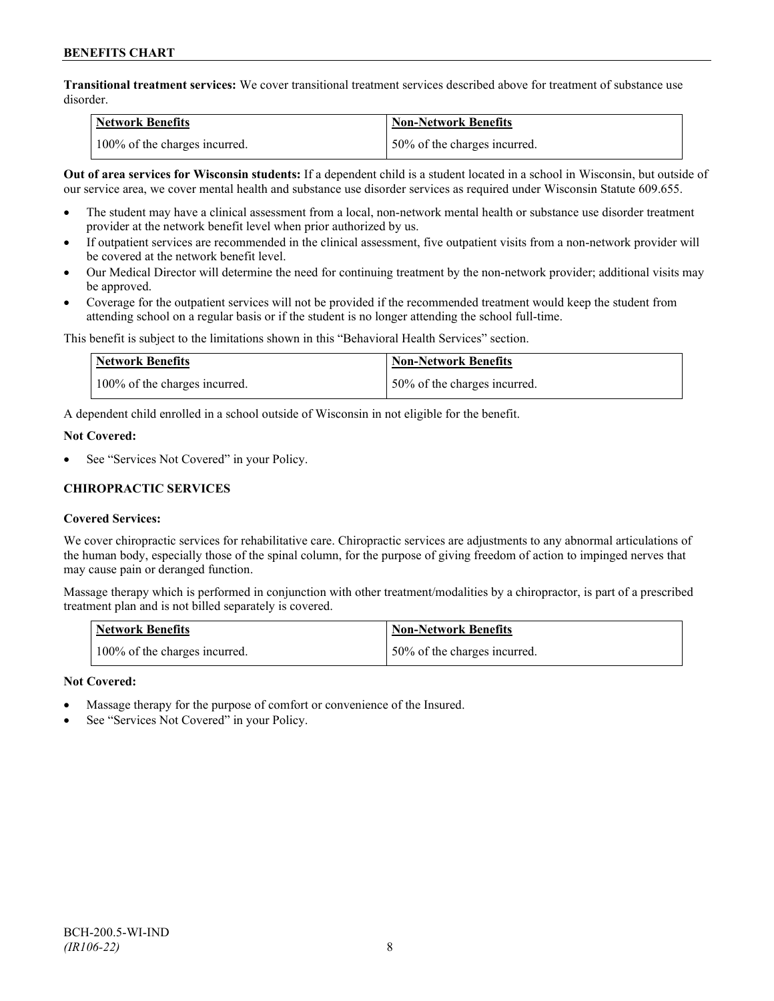**Transitional treatment services:** We cover transitional treatment services described above for treatment of substance use disorder.

| Network Benefits              | <b>Non-Network Benefits</b>  |
|-------------------------------|------------------------------|
| 100% of the charges incurred. | 50% of the charges incurred. |

**Out of area services for Wisconsin students:** If a dependent child is a student located in a school in Wisconsin, but outside of our service area, we cover mental health and substance use disorder services as required under Wisconsin Statute 609.655.

- The student may have a clinical assessment from a local, non-network mental health or substance use disorder treatment provider at the network benefit level when prior authorized by us.
- If outpatient services are recommended in the clinical assessment, five outpatient visits from a non-network provider will be covered at the network benefit level.
- Our Medical Director will determine the need for continuing treatment by the non-network provider; additional visits may be approved.
- Coverage for the outpatient services will not be provided if the recommended treatment would keep the student from attending school on a regular basis or if the student is no longer attending the school full-time.

This benefit is subject to the limitations shown in this "Behavioral Health Services" section.

| Network Benefits              | Non-Network Benefits         |
|-------------------------------|------------------------------|
| 100% of the charges incurred. | 50% of the charges incurred. |

A dependent child enrolled in a school outside of Wisconsin in not eligible for the benefit.

#### **Not Covered:**

See "Services Not Covered" in your Policy.

# **CHIROPRACTIC SERVICES**

### **Covered Services:**

We cover chiropractic services for rehabilitative care. Chiropractic services are adjustments to any abnormal articulations of the human body, especially those of the spinal column, for the purpose of giving freedom of action to impinged nerves that may cause pain or deranged function.

Massage therapy which is performed in conjunction with other treatment/modalities by a chiropractor, is part of a prescribed treatment plan and is not billed separately is covered.

| <b>Network Benefits</b>       | Non-Network Benefits         |
|-------------------------------|------------------------------|
| 100% of the charges incurred. | 50% of the charges incurred. |

### **Not Covered:**

- Massage therapy for the purpose of comfort or convenience of the Insured.
- See "Services Not Covered" in your Policy.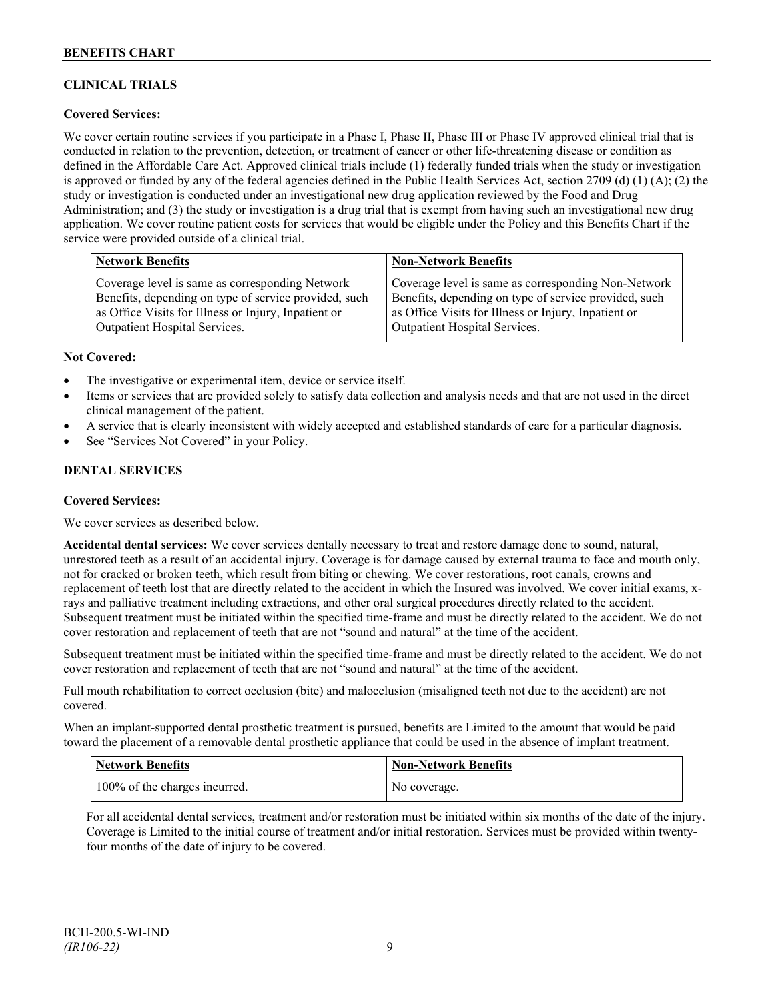# **CLINICAL TRIALS**

### **Covered Services:**

We cover certain routine services if you participate in a Phase I, Phase II, Phase III or Phase IV approved clinical trial that is conducted in relation to the prevention, detection, or treatment of cancer or other life-threatening disease or condition as defined in the Affordable Care Act. Approved clinical trials include (1) federally funded trials when the study or investigation is approved or funded by any of the federal agencies defined in the Public Health Services Act, section 2709 (d) (1) (A); (2) the study or investigation is conducted under an investigational new drug application reviewed by the Food and Drug Administration; and (3) the study or investigation is a drug trial that is exempt from having such an investigational new drug application. We cover routine patient costs for services that would be eligible under the Policy and this Benefits Chart if the service were provided outside of a clinical trial.

| <b>Network Benefits</b>                               | <b>Non-Network Benefits</b>                           |
|-------------------------------------------------------|-------------------------------------------------------|
| Coverage level is same as corresponding Network       | Coverage level is same as corresponding Non-Network   |
| Benefits, depending on type of service provided, such | Benefits, depending on type of service provided, such |
| as Office Visits for Illness or Injury, Inpatient or  | as Office Visits for Illness or Injury, Inpatient or  |
| <b>Outpatient Hospital Services.</b>                  | Outpatient Hospital Services.                         |

#### **Not Covered:**

- The investigative or experimental item, device or service itself.
- Items or services that are provided solely to satisfy data collection and analysis needs and that are not used in the direct clinical management of the patient.
- A service that is clearly inconsistent with widely accepted and established standards of care for a particular diagnosis.
- See "Services Not Covered" in your Policy.

### **DENTAL SERVICES**

#### **Covered Services:**

We cover services as described below.

**Accidental dental services:** We cover services dentally necessary to treat and restore damage done to sound, natural, unrestored teeth as a result of an accidental injury. Coverage is for damage caused by external trauma to face and mouth only, not for cracked or broken teeth, which result from biting or chewing. We cover restorations, root canals, crowns and replacement of teeth lost that are directly related to the accident in which the Insured was involved. We cover initial exams, xrays and palliative treatment including extractions, and other oral surgical procedures directly related to the accident. Subsequent treatment must be initiated within the specified time-frame and must be directly related to the accident. We do not cover restoration and replacement of teeth that are not "sound and natural" at the time of the accident.

Subsequent treatment must be initiated within the specified time-frame and must be directly related to the accident. We do not cover restoration and replacement of teeth that are not "sound and natural" at the time of the accident.

Full mouth rehabilitation to correct occlusion (bite) and malocclusion (misaligned teeth not due to the accident) are not covered.

When an implant-supported dental prosthetic treatment is pursued, benefits are Limited to the amount that would be paid toward the placement of a removable dental prosthetic appliance that could be used in the absence of implant treatment.

| Network Benefits              | Non-Network Benefits |
|-------------------------------|----------------------|
| 100% of the charges incurred. | No coverage.         |

For all accidental dental services, treatment and/or restoration must be initiated within six months of the date of the injury. Coverage is Limited to the initial course of treatment and/or initial restoration. Services must be provided within twentyfour months of the date of injury to be covered.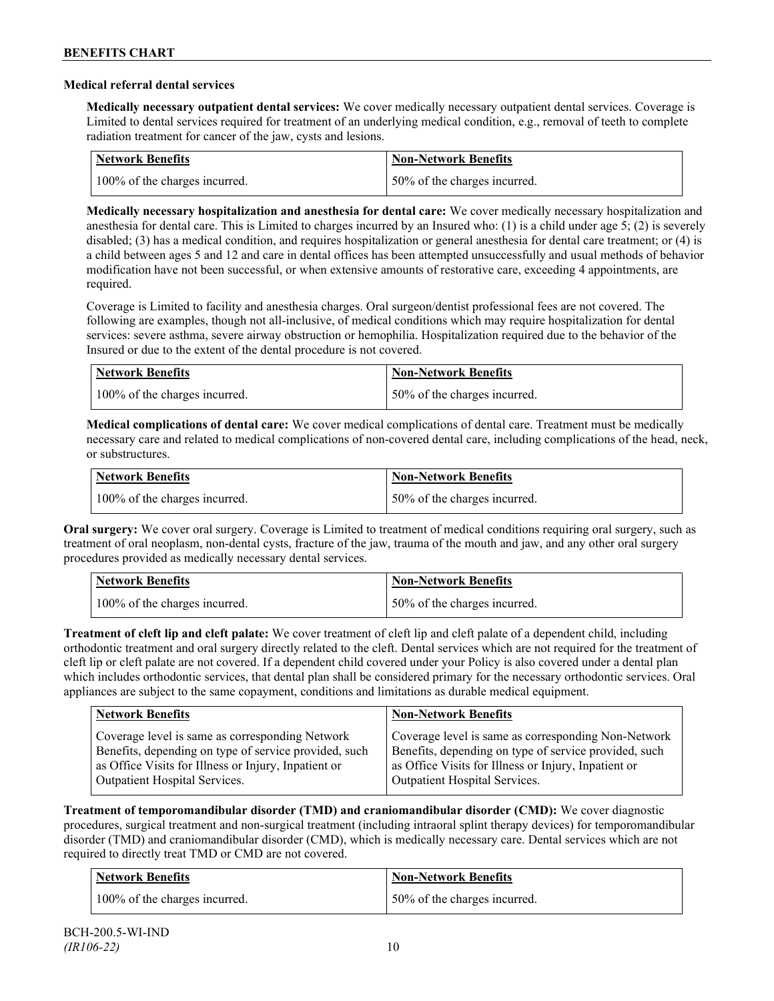### **Medical referral dental services**

**Medically necessary outpatient dental services:** We cover medically necessary outpatient dental services. Coverage is Limited to dental services required for treatment of an underlying medical condition, e.g., removal of teeth to complete radiation treatment for cancer of the jaw, cysts and lesions.

| Network Benefits              | <b>Non-Network Benefits</b>  |
|-------------------------------|------------------------------|
| 100% of the charges incurred. | 50% of the charges incurred. |

**Medically necessary hospitalization and anesthesia for dental care:** We cover medically necessary hospitalization and anesthesia for dental care. This is Limited to charges incurred by an Insured who: (1) is a child under age 5; (2) is severely disabled; (3) has a medical condition, and requires hospitalization or general anesthesia for dental care treatment; or (4) is a child between ages 5 and 12 and care in dental offices has been attempted unsuccessfully and usual methods of behavior modification have not been successful, or when extensive amounts of restorative care, exceeding 4 appointments, are required.

Coverage is Limited to facility and anesthesia charges. Oral surgeon/dentist professional fees are not covered. The following are examples, though not all-inclusive, of medical conditions which may require hospitalization for dental services: severe asthma, severe airway obstruction or hemophilia. Hospitalization required due to the behavior of the Insured or due to the extent of the dental procedure is not covered.

| Network Benefits              | <b>Non-Network Benefits</b>  |
|-------------------------------|------------------------------|
| 100% of the charges incurred. | 50% of the charges incurred. |

**Medical complications of dental care:** We cover medical complications of dental care. Treatment must be medically necessary care and related to medical complications of non-covered dental care, including complications of the head, neck, or substructures.

| Network Benefits              | <b>Non-Network Benefits</b>  |
|-------------------------------|------------------------------|
| 100% of the charges incurred. | 50% of the charges incurred. |

**Oral surgery:** We cover oral surgery. Coverage is Limited to treatment of medical conditions requiring oral surgery, such as treatment of oral neoplasm, non-dental cysts, fracture of the jaw, trauma of the mouth and jaw, and any other oral surgery procedures provided as medically necessary dental services.

| <b>Network Benefits</b>       | <b>Non-Network Benefits</b>  |
|-------------------------------|------------------------------|
| 100% of the charges incurred. | 50% of the charges incurred. |

**Treatment of cleft lip and cleft palate:** We cover treatment of cleft lip and cleft palate of a dependent child, including orthodontic treatment and oral surgery directly related to the cleft. Dental services which are not required for the treatment of cleft lip or cleft palate are not covered. If a dependent child covered under your Policy is also covered under a dental plan which includes orthodontic services, that dental plan shall be considered primary for the necessary orthodontic services. Oral appliances are subject to the same copayment, conditions and limitations as durable medical equipment.

| <b>Network Benefits</b>                               | <b>Non-Network Benefits</b>                           |
|-------------------------------------------------------|-------------------------------------------------------|
| Coverage level is same as corresponding Network       | Coverage level is same as corresponding Non-Network   |
| Benefits, depending on type of service provided, such | Benefits, depending on type of service provided, such |
| as Office Visits for Illness or Injury, Inpatient or  | as Office Visits for Illness or Injury, Inpatient or  |
| Outpatient Hospital Services.                         | Outpatient Hospital Services.                         |

**Treatment of temporomandibular disorder (TMD) and craniomandibular disorder (CMD):** We cover diagnostic procedures, surgical treatment and non-surgical treatment (including intraoral splint therapy devices) for temporomandibular disorder (TMD) and craniomandibular disorder (CMD), which is medically necessary care. Dental services which are not required to directly treat TMD or CMD are not covered.

| <b>Network Benefits</b>       | <b>Non-Network Benefits</b>  |
|-------------------------------|------------------------------|
| 100% of the charges incurred. | 50% of the charges incurred. |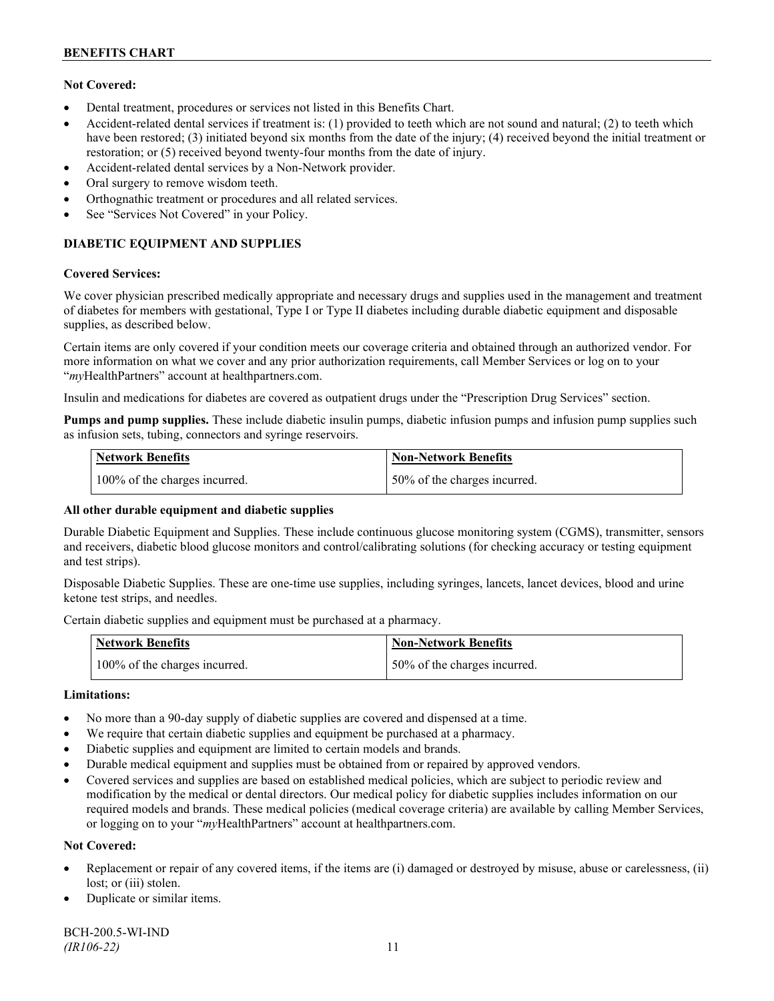### **Not Covered:**

- Dental treatment, procedures or services not listed in this Benefits Chart.
- Accident-related dental services if treatment is: (1) provided to teeth which are not sound and natural; (2) to teeth which have been restored; (3) initiated beyond six months from the date of the injury; (4) received beyond the initial treatment or restoration; or (5) received beyond twenty-four months from the date of injury.
- Accident-related dental services by a Non-Network provider.
- Oral surgery to remove wisdom teeth.
- Orthognathic treatment or procedures and all related services.
- See "Services Not Covered" in your Policy.

# **DIABETIC EQUIPMENT AND SUPPLIES**

#### **Covered Services:**

We cover physician prescribed medically appropriate and necessary drugs and supplies used in the management and treatment of diabetes for members with gestational, Type I or Type II diabetes including durable diabetic equipment and disposable supplies, as described below.

Certain items are only covered if your condition meets our coverage criteria and obtained through an authorized vendor. For more information on what we cover and any prior authorization requirements, call Member Services or log on to your "*my*HealthPartners" account at [healthpartners.com.](http://www.healthpartners.com/)

Insulin and medications for diabetes are covered as outpatient drugs under the "Prescription Drug Services" section.

**Pumps and pump supplies.** These include diabetic insulin pumps, diabetic infusion pumps and infusion pump supplies such as infusion sets, tubing, connectors and syringe reservoirs.

| <b>Network Benefits</b>       | Non-Network Benefits         |
|-------------------------------|------------------------------|
| 100% of the charges incurred. | 50% of the charges incurred. |

### **All other durable equipment and diabetic supplies**

Durable Diabetic Equipment and Supplies. These include continuous glucose monitoring system (CGMS), transmitter, sensors and receivers, diabetic blood glucose monitors and control/calibrating solutions (for checking accuracy or testing equipment and test strips).

Disposable Diabetic Supplies. These are one-time use supplies, including syringes, lancets, lancet devices, blood and urine ketone test strips, and needles.

Certain diabetic supplies and equipment must be purchased at a pharmacy.

| <b>Network Benefits</b>       | <b>Non-Network Benefits</b>  |
|-------------------------------|------------------------------|
| 100% of the charges incurred. | 50% of the charges incurred. |

### **Limitations:**

- No more than a 90-day supply of diabetic supplies are covered and dispensed at a time.
- We require that certain diabetic supplies and equipment be purchased at a pharmacy.
- Diabetic supplies and equipment are limited to certain models and brands.
- Durable medical equipment and supplies must be obtained from or repaired by approved vendors.
- Covered services and supplies are based on established medical policies, which are subject to periodic review and modification by the medical or dental directors. Our medical policy for diabetic supplies includes information on our required models and brands. These medical policies (medical coverage criteria) are available by calling Member Services, or logging on to your "*my*HealthPartners" account at healthpartners.com.

### **Not Covered:**

- Replacement or repair of any covered items, if the items are (i) damaged or destroyed by misuse, abuse or carelessness, (ii) lost; or (iii) stolen.
- Duplicate or similar items.

BCH-200.5-WI-IND *(IR106-22)* 11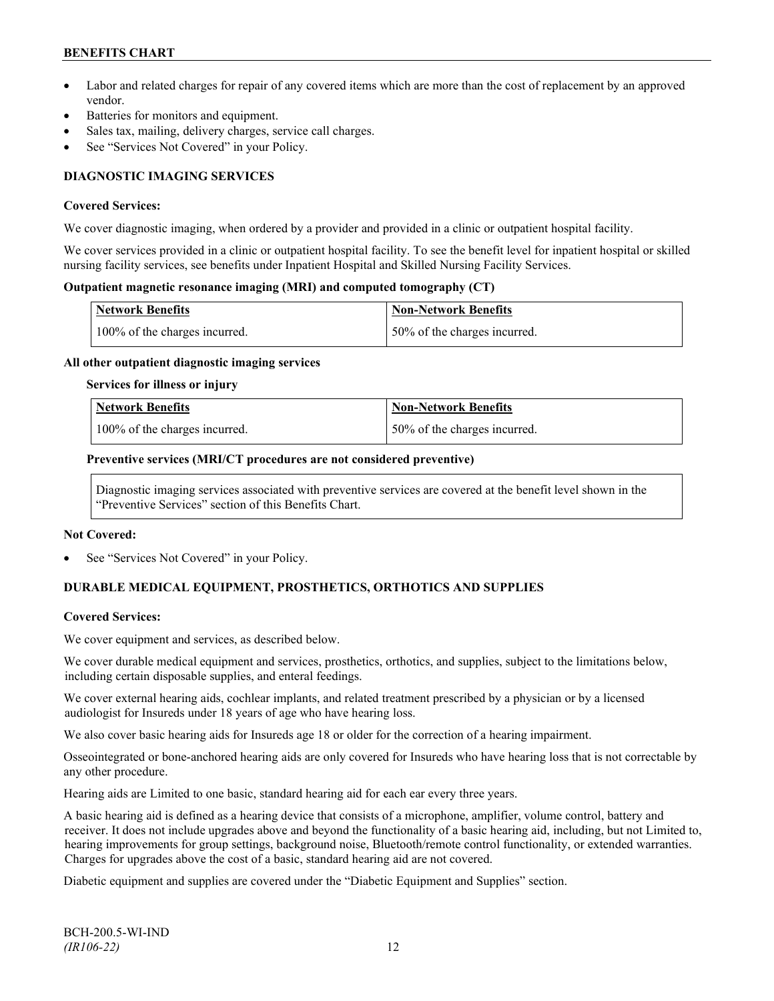- Labor and related charges for repair of any covered items which are more than the cost of replacement by an approved vendor.
- Batteries for monitors and equipment.
- Sales tax, mailing, delivery charges, service call charges.
- See "Services Not Covered" in your Policy.

# **DIAGNOSTIC IMAGING SERVICES**

#### **Covered Services:**

We cover diagnostic imaging, when ordered by a provider and provided in a clinic or outpatient hospital facility.

We cover services provided in a clinic or outpatient hospital facility. To see the benefit level for inpatient hospital or skilled nursing facility services, see benefits under Inpatient Hospital and Skilled Nursing Facility Services.

### **Outpatient magnetic resonance imaging (MRI) and computed tomography (CT)**

| <b>Network Benefits</b>       | Non-Network Benefits         |
|-------------------------------|------------------------------|
| 100% of the charges incurred. | 50% of the charges incurred. |

#### **All other outpatient diagnostic imaging services**

#### **Services for illness or injury**

| <b>Network Benefits</b>       | <b>Non-Network Benefits</b>  |
|-------------------------------|------------------------------|
| 100% of the charges incurred. | 50% of the charges incurred. |

#### **Preventive services (MRI/CT procedures are not considered preventive)**

Diagnostic imaging services associated with preventive services are covered at the benefit level shown in the "Preventive Services" section of this Benefits Chart.

#### **Not Covered:**

See "Services Not Covered" in your Policy.

# **DURABLE MEDICAL EQUIPMENT, PROSTHETICS, ORTHOTICS AND SUPPLIES**

### **Covered Services:**

We cover equipment and services, as described below.

We cover durable medical equipment and services, prosthetics, orthotics, and supplies, subject to the limitations below, including certain disposable supplies, and enteral feedings.

We cover external hearing aids, cochlear implants, and related treatment prescribed by a physician or by a licensed audiologist for Insureds under 18 years of age who have hearing loss.

We also cover basic hearing aids for Insureds age 18 or older for the correction of a hearing impairment.

Osseointegrated or bone-anchored hearing aids are only covered for Insureds who have hearing loss that is not correctable by any other procedure.

Hearing aids are Limited to one basic, standard hearing aid for each ear every three years.

A basic hearing aid is defined as a hearing device that consists of a microphone, amplifier, volume control, battery and receiver. It does not include upgrades above and beyond the functionality of a basic hearing aid, including, but not Limited to, hearing improvements for group settings, background noise, Bluetooth/remote control functionality, or extended warranties. Charges for upgrades above the cost of a basic, standard hearing aid are not covered.

Diabetic equipment and supplies are covered under the "Diabetic Equipment and Supplies" section.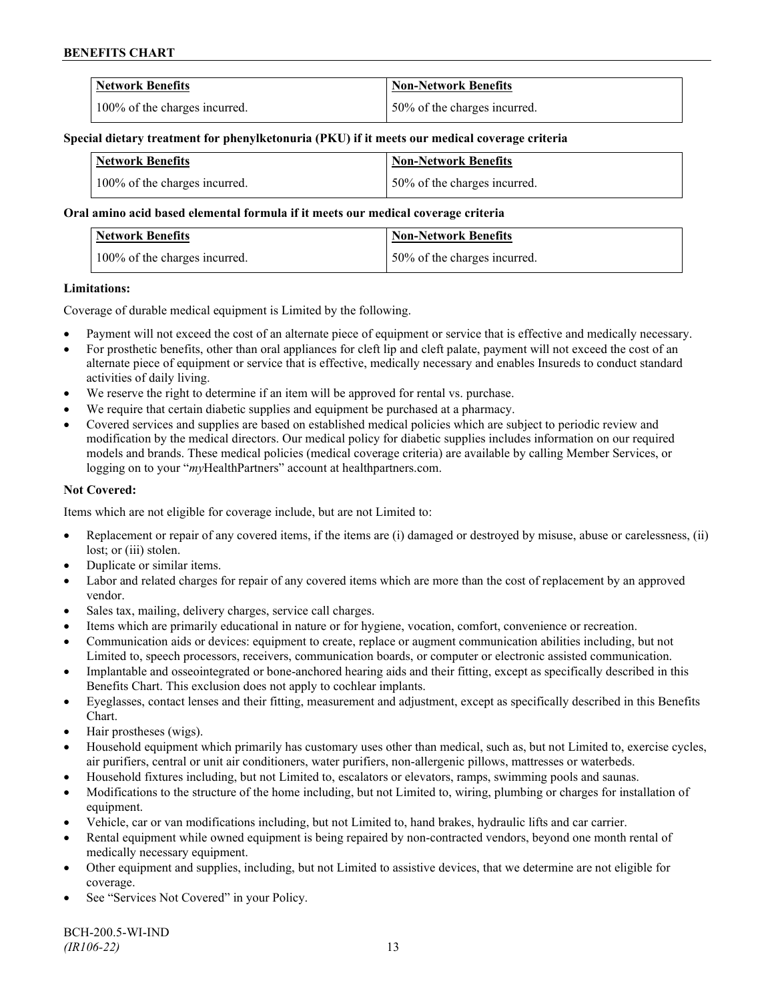| <b>Network Benefits</b>       | <b>Non-Network Benefits</b>  |
|-------------------------------|------------------------------|
| 100% of the charges incurred. | 50% of the charges incurred. |

#### **Special dietary treatment for phenylketonuria (PKU) if it meets our medical coverage criteria**

| <b>Network Benefits</b>       | <b>Non-Network Benefits</b>   |
|-------------------------------|-------------------------------|
| 100% of the charges incurred. | 150% of the charges incurred. |

### **Oral amino acid based elemental formula if it meets our medical coverage criteria**

| <b>Network Benefits</b>       | <b>Non-Network Benefits</b>  |
|-------------------------------|------------------------------|
| 100% of the charges incurred. | 50% of the charges incurred. |

#### **Limitations:**

Coverage of durable medical equipment is Limited by the following.

- Payment will not exceed the cost of an alternate piece of equipment or service that is effective and medically necessary.
- For prosthetic benefits, other than oral appliances for cleft lip and cleft palate, payment will not exceed the cost of an alternate piece of equipment or service that is effective, medically necessary and enables Insureds to conduct standard activities of daily living.
- We reserve the right to determine if an item will be approved for rental vs. purchase.
- We require that certain diabetic supplies and equipment be purchased at a pharmacy.
- Covered services and supplies are based on established medical policies which are subject to periodic review and modification by the medical directors. Our medical policy for diabetic supplies includes information on our required models and brands. These medical policies (medical coverage criteria) are available by calling Member Services, or logging on to your "*my*HealthPartners" account at [healthpartners.com.](http://www.healthpartners.com/)

### **Not Covered:**

Items which are not eligible for coverage include, but are not Limited to:

- Replacement or repair of any covered items, if the items are (i) damaged or destroyed by misuse, abuse or carelessness, (ii) lost; or (iii) stolen.
- Duplicate or similar items.
- Labor and related charges for repair of any covered items which are more than the cost of replacement by an approved vendor.
- Sales tax, mailing, delivery charges, service call charges.
- Items which are primarily educational in nature or for hygiene, vocation, comfort, convenience or recreation.
- Communication aids or devices: equipment to create, replace or augment communication abilities including, but not Limited to, speech processors, receivers, communication boards, or computer or electronic assisted communication.
- Implantable and osseointegrated or bone-anchored hearing aids and their fitting, except as specifically described in this Benefits Chart. This exclusion does not apply to cochlear implants.
- Eyeglasses, contact lenses and their fitting, measurement and adjustment, except as specifically described in this Benefits Chart.
- Hair prostheses (wigs).
- Household equipment which primarily has customary uses other than medical, such as, but not Limited to, exercise cycles, air purifiers, central or unit air conditioners, water purifiers, non-allergenic pillows, mattresses or waterbeds.
- Household fixtures including, but not Limited to, escalators or elevators, ramps, swimming pools and saunas.
- Modifications to the structure of the home including, but not Limited to, wiring, plumbing or charges for installation of equipment.
- Vehicle, car or van modifications including, but not Limited to, hand brakes, hydraulic lifts and car carrier.
- Rental equipment while owned equipment is being repaired by non-contracted vendors, beyond one month rental of medically necessary equipment.
- Other equipment and supplies, including, but not Limited to assistive devices, that we determine are not eligible for coverage.
- See "Services Not Covered" in your Policy.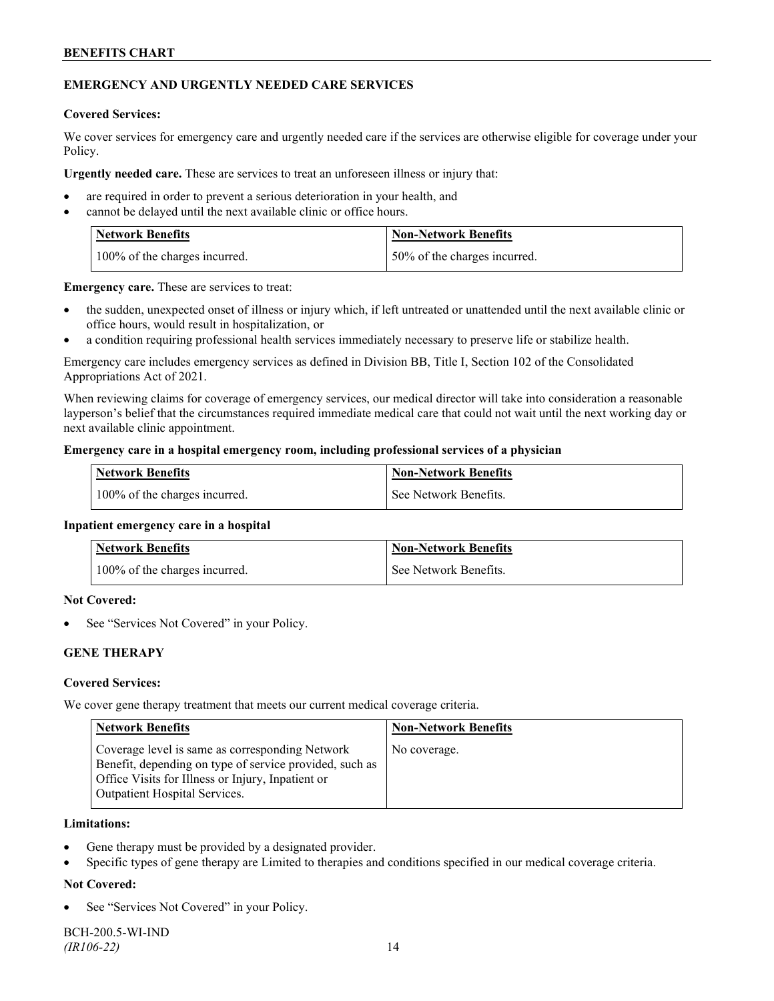### **EMERGENCY AND URGENTLY NEEDED CARE SERVICES**

#### **Covered Services:**

We cover services for emergency care and urgently needed care if the services are otherwise eligible for coverage under your Policy.

**Urgently needed care.** These are services to treat an unforeseen illness or injury that:

- are required in order to prevent a serious deterioration in your health, and
- cannot be delayed until the next available clinic or office hours.

| <b>Network Benefits</b>       | <b>Non-Network Benefits</b>  |
|-------------------------------|------------------------------|
| 100% of the charges incurred. | 50% of the charges incurred. |

**Emergency care.** These are services to treat:

- the sudden, unexpected onset of illness or injury which, if left untreated or unattended until the next available clinic or office hours, would result in hospitalization, or
- a condition requiring professional health services immediately necessary to preserve life or stabilize health.

Emergency care includes emergency services as defined in Division BB, Title I, Section 102 of the Consolidated Appropriations Act of 2021.

When reviewing claims for coverage of emergency services, our medical director will take into consideration a reasonable layperson's belief that the circumstances required immediate medical care that could not wait until the next working day or next available clinic appointment.

#### **Emergency care in a hospital emergency room, including professional services of a physician**

| <b>Network Benefits</b>       | <b>Non-Network Benefits</b> |
|-------------------------------|-----------------------------|
| 100% of the charges incurred. | See Network Benefits.       |

#### **Inpatient emergency care in a hospital**

| Network Benefits              | <b>Non-Network Benefits</b> |
|-------------------------------|-----------------------------|
| 100% of the charges incurred. | See Network Benefits.       |

#### **Not Covered:**

See "Services Not Covered" in your Policy.

### **GENE THERAPY**

#### **Covered Services:**

We cover gene therapy treatment that meets our current medical coverage criteria.

| <b>Network Benefits</b>                                                                                                                                                                          | <b>Non-Network Benefits</b> |
|--------------------------------------------------------------------------------------------------------------------------------------------------------------------------------------------------|-----------------------------|
| Coverage level is same as corresponding Network<br>Benefit, depending on type of service provided, such as<br>Office Visits for Illness or Injury, Inpatient or<br>Outpatient Hospital Services. | No coverage.                |

#### **Limitations:**

- Gene therapy must be provided by a designated provider.
- Specific types of gene therapy are Limited to therapies and conditions specified in our medical coverage criteria.

### **Not Covered:**

See "Services Not Covered" in your Policy.

BCH-200.5-WI-IND *(IR106-22)* 14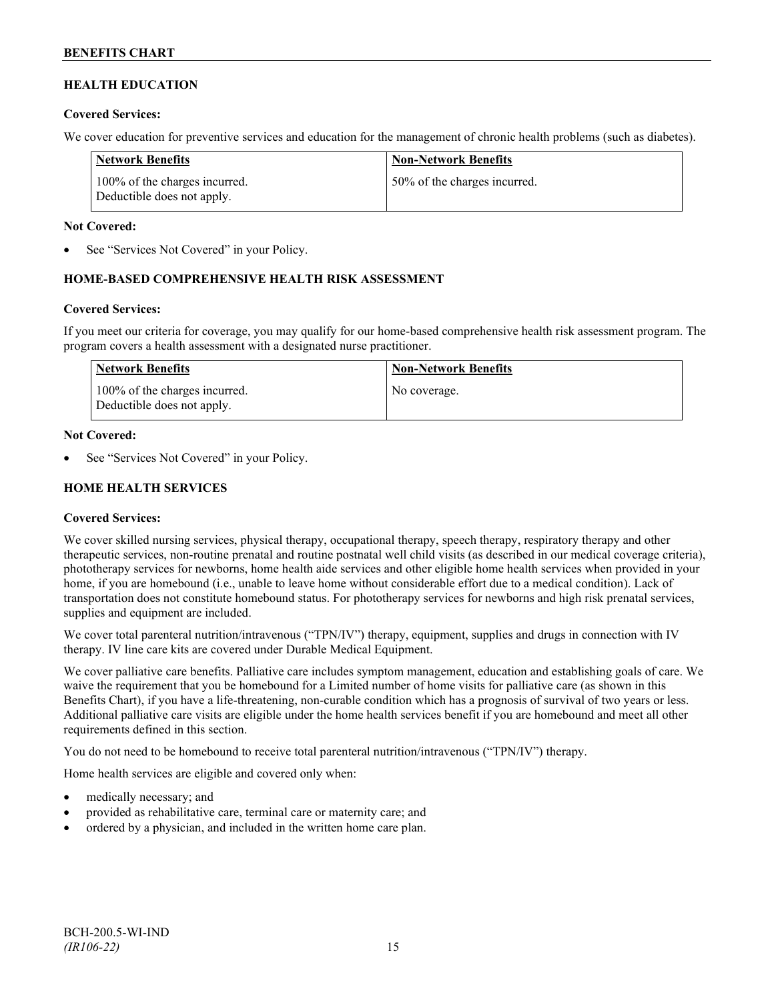# **HEALTH EDUCATION**

### **Covered Services:**

We cover education for preventive services and education for the management of chronic health problems (such as diabetes).

| Network Benefits                                            | <b>Non-Network Benefits</b>  |
|-------------------------------------------------------------|------------------------------|
| 100% of the charges incurred.<br>Deductible does not apply. | 50% of the charges incurred. |

### **Not Covered:**

See "Services Not Covered" in your Policy.

### **HOME-BASED COMPREHENSIVE HEALTH RISK ASSESSMENT**

#### **Covered Services:**

If you meet our criteria for coverage, you may qualify for our home-based comprehensive health risk assessment program. The program covers a health assessment with a designated nurse practitioner.

| Network Benefits                                            | <b>Non-Network Benefits</b> |
|-------------------------------------------------------------|-----------------------------|
| 100% of the charges incurred.<br>Deductible does not apply. | No coverage.                |

#### **Not Covered:**

See "Services Not Covered" in your Policy.

### **HOME HEALTH SERVICES**

### **Covered Services:**

We cover skilled nursing services, physical therapy, occupational therapy, speech therapy, respiratory therapy and other therapeutic services, non-routine prenatal and routine postnatal well child visits (as described in our medical coverage criteria), phototherapy services for newborns, home health aide services and other eligible home health services when provided in your home, if you are homebound (i.e., unable to leave home without considerable effort due to a medical condition). Lack of transportation does not constitute homebound status. For phototherapy services for newborns and high risk prenatal services, supplies and equipment are included.

We cover total parenteral nutrition/intravenous ("TPN/IV") therapy, equipment, supplies and drugs in connection with IV therapy. IV line care kits are covered under Durable Medical Equipment.

We cover palliative care benefits. Palliative care includes symptom management, education and establishing goals of care. We waive the requirement that you be homebound for a Limited number of home visits for palliative care (as shown in this Benefits Chart), if you have a life-threatening, non-curable condition which has a prognosis of survival of two years or less. Additional palliative care visits are eligible under the home health services benefit if you are homebound and meet all other requirements defined in this section.

You do not need to be homebound to receive total parenteral nutrition/intravenous ("TPN/IV") therapy.

Home health services are eligible and covered only when:

- medically necessary; and
- provided as rehabilitative care, terminal care or maternity care; and
- ordered by a physician, and included in the written home care plan.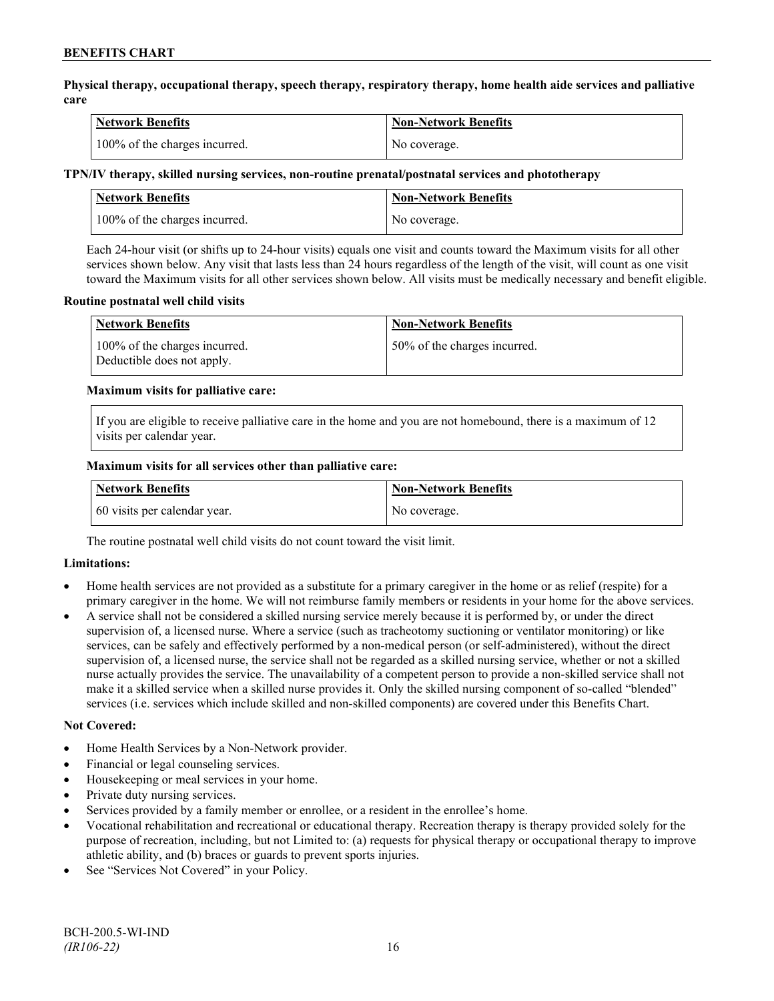**Physical therapy, occupational therapy, speech therapy, respiratory therapy, home health aide services and palliative care**

| Network Benefits              | <b>Non-Network Benefits</b> |
|-------------------------------|-----------------------------|
| 100% of the charges incurred. | No coverage.                |

### **TPN/IV therapy, skilled nursing services, non-routine prenatal/postnatal services and phototherapy**

| <b>Network Benefits</b>       | Non-Network Benefits |
|-------------------------------|----------------------|
| 100% of the charges incurred. | No coverage.         |

Each 24-hour visit (or shifts up to 24-hour visits) equals one visit and counts toward the Maximum visits for all other services shown below. Any visit that lasts less than 24 hours regardless of the length of the visit, will count as one visit toward the Maximum visits for all other services shown below. All visits must be medically necessary and benefit eligible.

#### **Routine postnatal well child visits**

| <b>Network Benefits</b>                                     | <b>Non-Network Benefits</b>  |
|-------------------------------------------------------------|------------------------------|
| 100% of the charges incurred.<br>Deductible does not apply. | 50% of the charges incurred. |

#### **Maximum visits for palliative care:**

If you are eligible to receive palliative care in the home and you are not homebound, there is a maximum of 12 visits per calendar year.

#### **Maximum visits for all services other than palliative care:**

| <b>Network Benefits</b>      | <b>Non-Network Benefits</b> |
|------------------------------|-----------------------------|
| 60 visits per calendar year. | No coverage.                |

The routine postnatal well child visits do not count toward the visit limit.

### **Limitations:**

- Home health services are not provided as a substitute for a primary caregiver in the home or as relief (respite) for a primary caregiver in the home. We will not reimburse family members or residents in your home for the above services.
- A service shall not be considered a skilled nursing service merely because it is performed by, or under the direct supervision of, a licensed nurse. Where a service (such as tracheotomy suctioning or ventilator monitoring) or like services, can be safely and effectively performed by a non-medical person (or self-administered), without the direct supervision of, a licensed nurse, the service shall not be regarded as a skilled nursing service, whether or not a skilled nurse actually provides the service. The unavailability of a competent person to provide a non-skilled service shall not make it a skilled service when a skilled nurse provides it. Only the skilled nursing component of so-called "blended" services (i.e. services which include skilled and non-skilled components) are covered under this Benefits Chart.

#### **Not Covered:**

- Home Health Services by a Non-Network provider.
- Financial or legal counseling services.
- Housekeeping or meal services in your home.
- Private duty nursing services.
- Services provided by a family member or enrollee, or a resident in the enrollee's home.
- Vocational rehabilitation and recreational or educational therapy. Recreation therapy is therapy provided solely for the purpose of recreation, including, but not Limited to: (a) requests for physical therapy or occupational therapy to improve athletic ability, and (b) braces or guards to prevent sports injuries.
- See "Services Not Covered" in your Policy.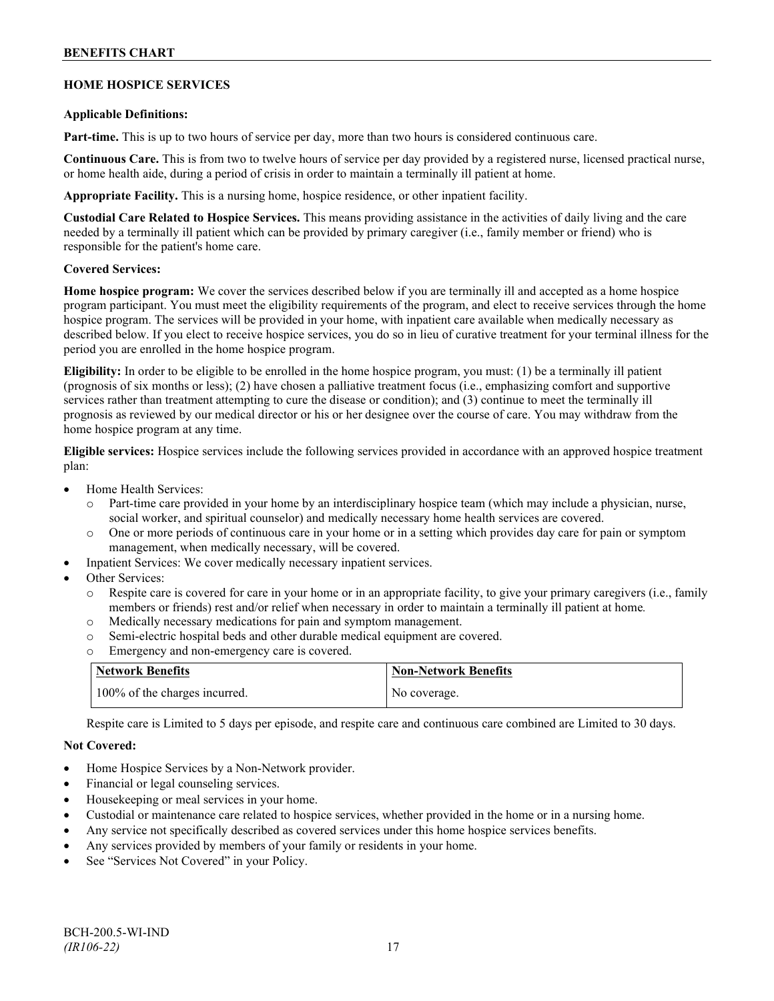### **HOME HOSPICE SERVICES**

#### **Applicable Definitions:**

**Part-time.** This is up to two hours of service per day, more than two hours is considered continuous care.

**Continuous Care.** This is from two to twelve hours of service per day provided by a registered nurse, licensed practical nurse, or home health aide, during a period of crisis in order to maintain a terminally ill patient at home.

**Appropriate Facility.** This is a nursing home, hospice residence, or other inpatient facility.

**Custodial Care Related to Hospice Services.** This means providing assistance in the activities of daily living and the care needed by a terminally ill patient which can be provided by primary caregiver (i.e., family member or friend) who is responsible for the patient's home care.

#### **Covered Services:**

**Home hospice program:** We cover the services described below if you are terminally ill and accepted as a home hospice program participant. You must meet the eligibility requirements of the program, and elect to receive services through the home hospice program. The services will be provided in your home, with inpatient care available when medically necessary as described below. If you elect to receive hospice services, you do so in lieu of curative treatment for your terminal illness for the period you are enrolled in the home hospice program.

**Eligibility:** In order to be eligible to be enrolled in the home hospice program, you must: (1) be a terminally ill patient (prognosis of six months or less); (2) have chosen a palliative treatment focus (i.e., emphasizing comfort and supportive services rather than treatment attempting to cure the disease or condition); and (3) continue to meet the terminally ill prognosis as reviewed by our medical director or his or her designee over the course of care. You may withdraw from the home hospice program at any time.

**Eligible services:** Hospice services include the following services provided in accordance with an approved hospice treatment plan:

- Home Health Services:
	- o Part-time care provided in your home by an interdisciplinary hospice team (which may include a physician, nurse, social worker, and spiritual counselor) and medically necessary home health services are covered.
	- o One or more periods of continuous care in your home or in a setting which provides day care for pain or symptom management, when medically necessary, will be covered.
- Inpatient Services: We cover medically necessary inpatient services.
- Other Services:
	- Respite care is covered for care in your home or in an appropriate facility, to give your primary caregivers (i.e., family members or friends) rest and/or relief when necessary in order to maintain a terminally ill patient at home*.*
	- o Medically necessary medications for pain and symptom management.
	- o Semi-electric hospital beds and other durable medical equipment are covered.
	- o Emergency and non-emergency care is covered.

| <b>Network Benefits</b>       | <b>Non-Network Benefits</b> |
|-------------------------------|-----------------------------|
| 100% of the charges incurred. | No coverage.                |

Respite care is Limited to 5 days per episode, and respite care and continuous care combined are Limited to 30 days.

### **Not Covered:**

- Home Hospice Services by a Non-Network provider.
- Financial or legal counseling services.
- Housekeeping or meal services in your home.
- Custodial or maintenance care related to hospice services, whether provided in the home or in a nursing home.
- Any service not specifically described as covered services under this home hospice services benefits.
- Any services provided by members of your family or residents in your home.
- See "Services Not Covered" in your Policy.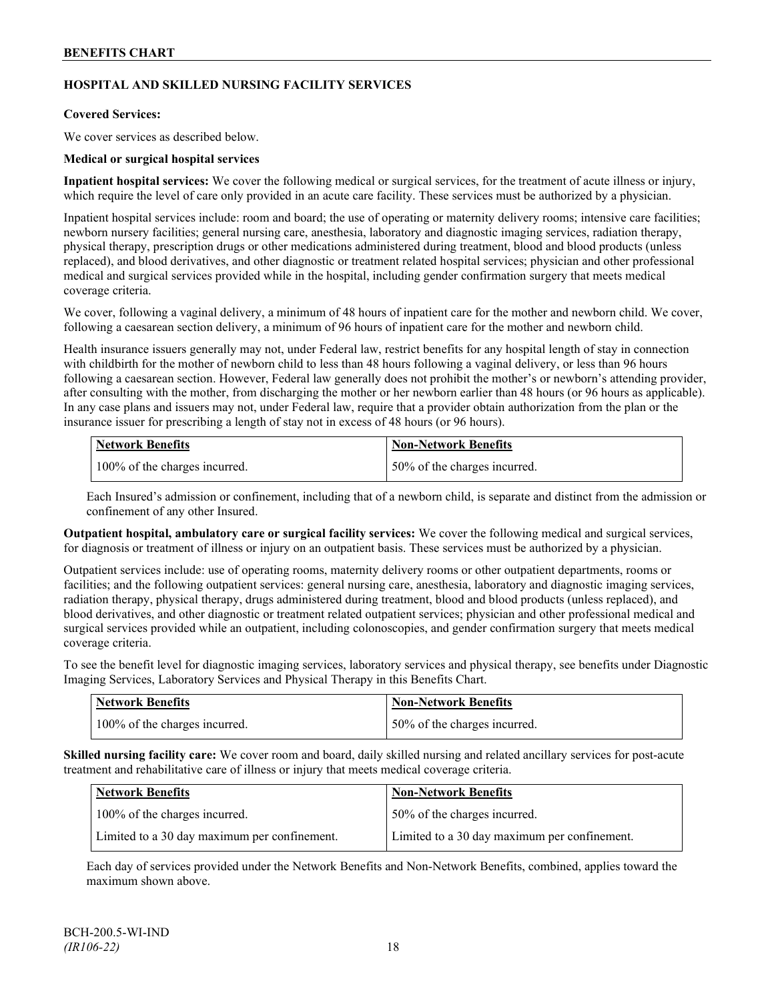# **HOSPITAL AND SKILLED NURSING FACILITY SERVICES**

### **Covered Services:**

We cover services as described below.

#### **Medical or surgical hospital services**

**Inpatient hospital services:** We cover the following medical or surgical services, for the treatment of acute illness or injury, which require the level of care only provided in an acute care facility. These services must be authorized by a physician.

Inpatient hospital services include: room and board; the use of operating or maternity delivery rooms; intensive care facilities; newborn nursery facilities; general nursing care, anesthesia, laboratory and diagnostic imaging services, radiation therapy, physical therapy, prescription drugs or other medications administered during treatment, blood and blood products (unless replaced), and blood derivatives, and other diagnostic or treatment related hospital services; physician and other professional medical and surgical services provided while in the hospital, including gender confirmation surgery that meets medical coverage criteria.

We cover, following a vaginal delivery, a minimum of 48 hours of inpatient care for the mother and newborn child. We cover, following a caesarean section delivery, a minimum of 96 hours of inpatient care for the mother and newborn child.

Health insurance issuers generally may not, under Federal law, restrict benefits for any hospital length of stay in connection with childbirth for the mother of newborn child to less than 48 hours following a vaginal delivery, or less than 96 hours following a caesarean section. However, Federal law generally does not prohibit the mother's or newborn's attending provider, after consulting with the mother, from discharging the mother or her newborn earlier than 48 hours (or 96 hours as applicable). In any case plans and issuers may not, under Federal law, require that a provider obtain authorization from the plan or the insurance issuer for prescribing a length of stay not in excess of 48 hours (or 96 hours).

| Network Benefits              | <b>Non-Network Benefits</b>  |
|-------------------------------|------------------------------|
| 100% of the charges incurred. | 50% of the charges incurred. |

Each Insured's admission or confinement, including that of a newborn child, is separate and distinct from the admission or confinement of any other Insured.

**Outpatient hospital, ambulatory care or surgical facility services:** We cover the following medical and surgical services, for diagnosis or treatment of illness or injury on an outpatient basis. These services must be authorized by a physician.

Outpatient services include: use of operating rooms, maternity delivery rooms or other outpatient departments, rooms or facilities; and the following outpatient services: general nursing care, anesthesia, laboratory and diagnostic imaging services, radiation therapy, physical therapy, drugs administered during treatment, blood and blood products (unless replaced), and blood derivatives, and other diagnostic or treatment related outpatient services; physician and other professional medical and surgical services provided while an outpatient, including colonoscopies, and gender confirmation surgery that meets medical coverage criteria.

To see the benefit level for diagnostic imaging services, laboratory services and physical therapy, see benefits under Diagnostic Imaging Services, Laboratory Services and Physical Therapy in this Benefits Chart.

| <b>Network Benefits</b>       | <b>Non-Network Benefits</b>  |
|-------------------------------|------------------------------|
| 100% of the charges incurred. | 50% of the charges incurred. |

**Skilled nursing facility care:** We cover room and board, daily skilled nursing and related ancillary services for post-acute treatment and rehabilitative care of illness or injury that meets medical coverage criteria.

| Network Benefits                             | <b>Non-Network Benefits</b>                  |
|----------------------------------------------|----------------------------------------------|
| 100% of the charges incurred.                | 50% of the charges incurred.                 |
| Limited to a 30 day maximum per confinement. | Limited to a 30 day maximum per confinement. |

Each day of services provided under the Network Benefits and Non-Network Benefits, combined, applies toward the maximum shown above.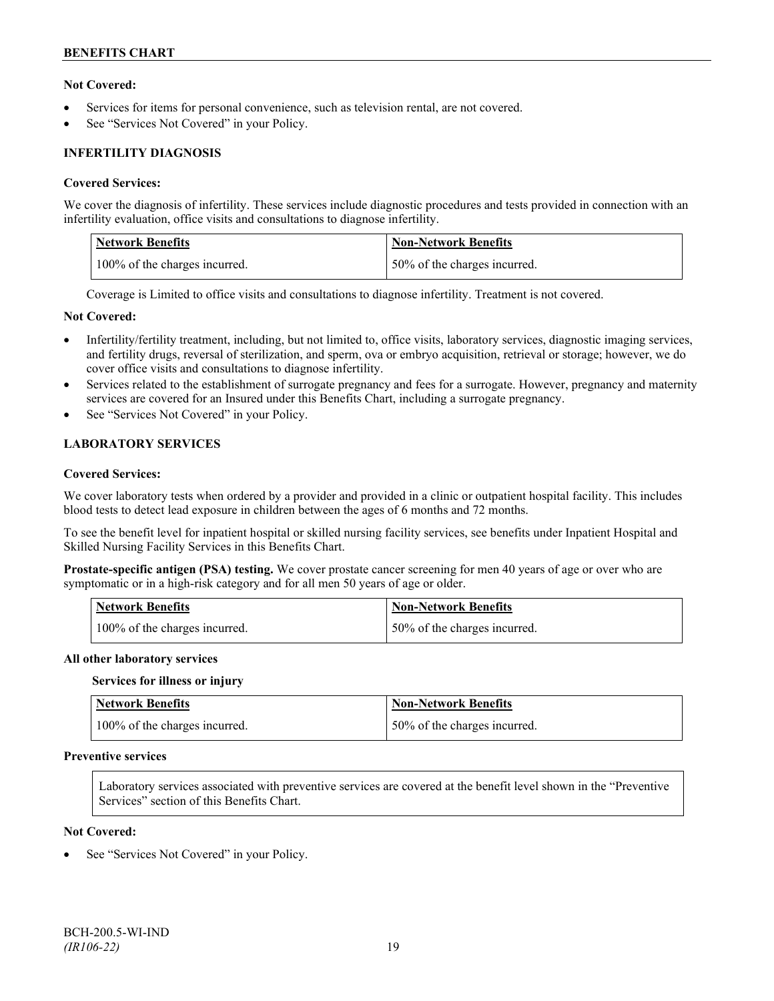### **Not Covered:**

- Services for items for personal convenience, such as television rental, are not covered.
- See "Services Not Covered" in your Policy.

### **INFERTILITY DIAGNOSIS**

#### **Covered Services:**

We cover the diagnosis of infertility. These services include diagnostic procedures and tests provided in connection with an infertility evaluation, office visits and consultations to diagnose infertility.

| <b>Network Benefits</b>       | <b>Non-Network Benefits</b>   |
|-------------------------------|-------------------------------|
| 100% of the charges incurred. | 150% of the charges incurred. |

Coverage is Limited to office visits and consultations to diagnose infertility. Treatment is not covered.

#### **Not Covered:**

- Infertility/fertility treatment, including, but not limited to, office visits, laboratory services, diagnostic imaging services, and fertility drugs, reversal of sterilization, and sperm, ova or embryo acquisition, retrieval or storage; however, we do cover office visits and consultations to diagnose infertility.
- Services related to the establishment of surrogate pregnancy and fees for a surrogate. However, pregnancy and maternity services are covered for an Insured under this Benefits Chart, including a surrogate pregnancy.
- See "Services Not Covered" in your Policy.

### **LABORATORY SERVICES**

#### **Covered Services:**

We cover laboratory tests when ordered by a provider and provided in a clinic or outpatient hospital facility. This includes blood tests to detect lead exposure in children between the ages of 6 months and 72 months.

To see the benefit level for inpatient hospital or skilled nursing facility services, see benefits under Inpatient Hospital and Skilled Nursing Facility Services in this Benefits Chart.

**Prostate-specific antigen (PSA) testing.** We cover prostate cancer screening for men 40 years of age or over who are symptomatic or in a high-risk category and for all men 50 years of age or older.

| <b>Network Benefits</b>       | <b>Non-Network Benefits</b>  |
|-------------------------------|------------------------------|
| 100% of the charges incurred. | 50% of the charges incurred. |

#### **All other laboratory services**

#### **Services for illness or injury**

| <b>Network Benefits</b>       | <b>Non-Network Benefits</b>  |
|-------------------------------|------------------------------|
| 100% of the charges incurred. | 50% of the charges incurred. |

### **Preventive services**

Laboratory services associated with preventive services are covered at the benefit level shown in the "Preventive Services" section of this Benefits Chart.

#### **Not Covered:**

See "Services Not Covered" in your Policy.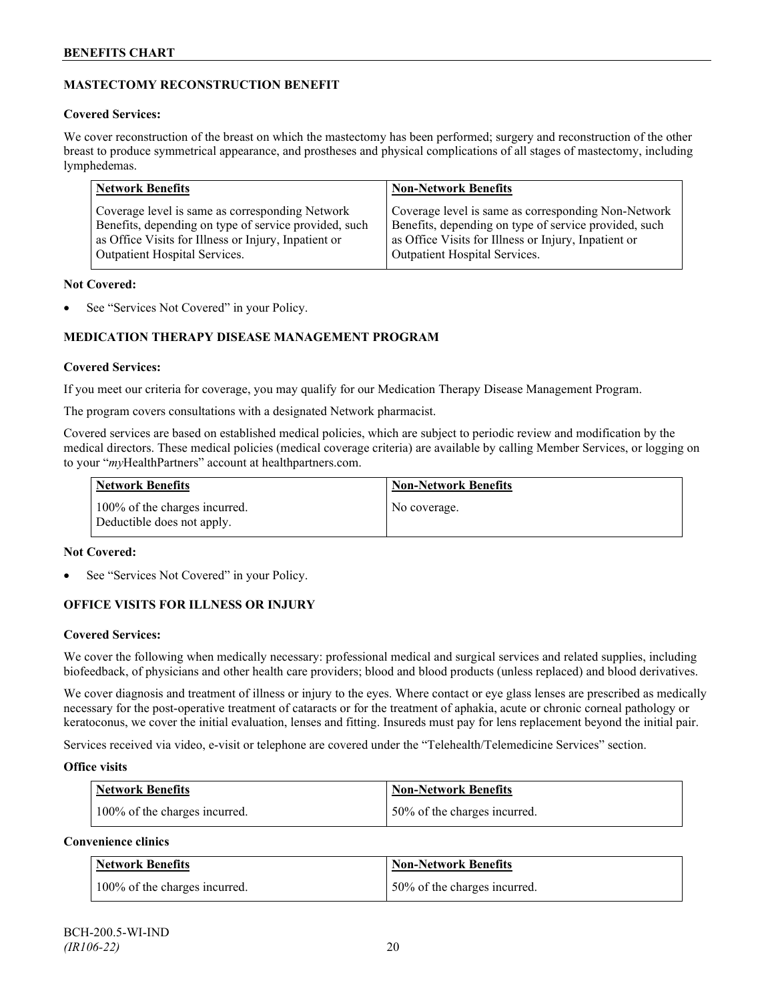# **MASTECTOMY RECONSTRUCTION BENEFIT**

### **Covered Services:**

We cover reconstruction of the breast on which the mastectomy has been performed; surgery and reconstruction of the other breast to produce symmetrical appearance, and prostheses and physical complications of all stages of mastectomy, including lymphedemas.

| <b>Network Benefits</b>                               | <b>Non-Network Benefits</b>                           |
|-------------------------------------------------------|-------------------------------------------------------|
| Coverage level is same as corresponding Network       | Coverage level is same as corresponding Non-Network   |
| Benefits, depending on type of service provided, such | Benefits, depending on type of service provided, such |
| as Office Visits for Illness or Injury, Inpatient or  | as Office Visits for Illness or Injury, Inpatient or  |
| Outpatient Hospital Services.                         | Outpatient Hospital Services.                         |

### **Not Covered:**

See "Services Not Covered" in your Policy.

# **MEDICATION THERAPY DISEASE MANAGEMENT PROGRAM**

### **Covered Services:**

If you meet our criteria for coverage, you may qualify for our Medication Therapy Disease Management Program.

The program covers consultations with a designated Network pharmacist.

Covered services are based on established medical policies, which are subject to periodic review and modification by the medical directors. These medical policies (medical coverage criteria) are available by calling Member Services, or logging on to your "*my*HealthPartners" account at [healthpartners.com.](http://www.healthpartners.com/)

| <b>Network Benefits</b>                                     | <b>Non-Network Benefits</b> |
|-------------------------------------------------------------|-----------------------------|
| 100% of the charges incurred.<br>Deductible does not apply. | No coverage.                |

### **Not Covered:**

See "Services Not Covered" in your Policy.

# **OFFICE VISITS FOR ILLNESS OR INJURY**

### **Covered Services:**

We cover the following when medically necessary: professional medical and surgical services and related supplies, including biofeedback, of physicians and other health care providers; blood and blood products (unless replaced) and blood derivatives.

We cover diagnosis and treatment of illness or injury to the eyes. Where contact or eye glass lenses are prescribed as medically necessary for the post-operative treatment of cataracts or for the treatment of aphakia, acute or chronic corneal pathology or keratoconus, we cover the initial evaluation, lenses and fitting. Insureds must pay for lens replacement beyond the initial pair.

Services received via video, e-visit or telephone are covered under the "Telehealth/Telemedicine Services" section.

### **Office visits**

| Network Benefits              | <b>Non-Network Benefits</b>  |
|-------------------------------|------------------------------|
| 100% of the charges incurred. | 50% of the charges incurred. |

# **Convenience clinics**

| <b>Network Benefits</b>       | <b>Non-Network Benefits</b>  |
|-------------------------------|------------------------------|
| 100% of the charges incurred. | 50% of the charges incurred. |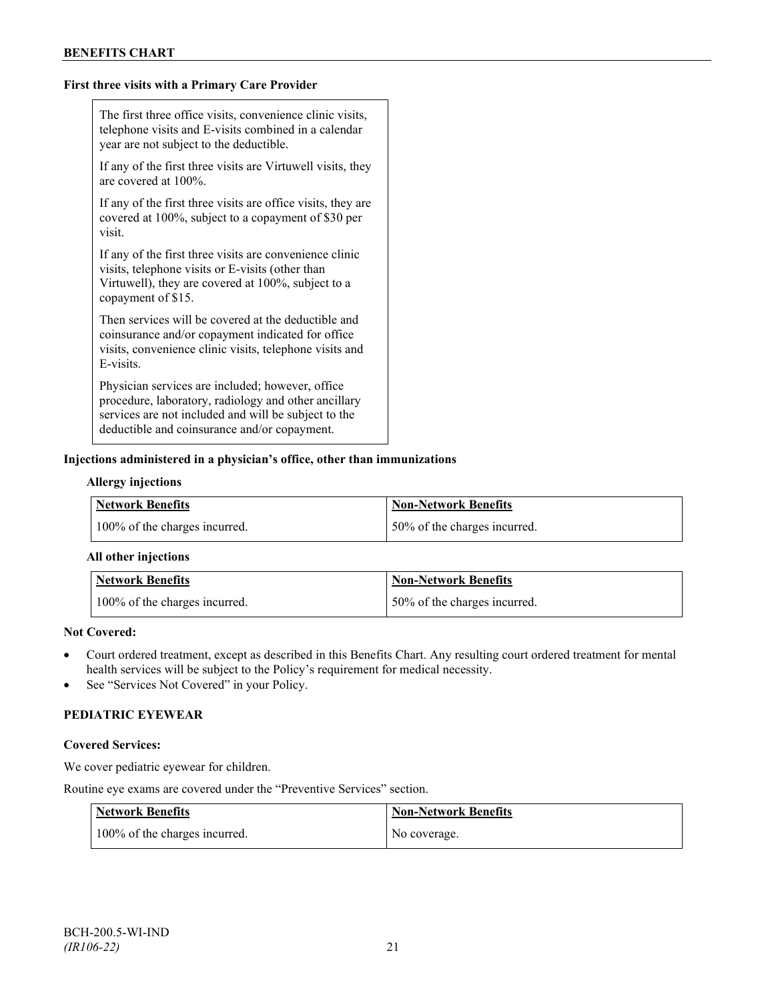### **First three visits with a Primary Care Provider**

| The first three office visits, convenience clinic visits,<br>telephone visits and E-visits combined in a calendar<br>year are not subject to the deductible.                                                     |
|------------------------------------------------------------------------------------------------------------------------------------------------------------------------------------------------------------------|
| If any of the first three visits are Virtuwell visits, they<br>are covered at 100%.                                                                                                                              |
| If any of the first three visits are office visits, they are<br>covered at 100%, subject to a copayment of \$30 per<br>visit.                                                                                    |
| If any of the first three visits are convenience clinic<br>visits, telephone visits or E-visits (other than<br>Virtuwell), they are covered at 100%, subject to a<br>copayment of \$15.                          |
| Then services will be covered at the deductible and<br>coinsurance and/or copayment indicated for office<br>visits, convenience clinic visits, telephone visits and<br>E-visits.                                 |
| Physician services are included; however, office<br>procedure, laboratory, radiology and other ancillary<br>services are not included and will be subject to the<br>deductible and coinsurance and/or copayment. |

### **Injections administered in a physician's office, other than immunizations**

#### **Allergy injections**

| <b>Network Benefits</b>       | Non-Network Benefits         |
|-------------------------------|------------------------------|
| 100% of the charges incurred. | 50% of the charges incurred. |

#### **All other injections**

| Network Benefits              | <b>Non-Network Benefits</b>  |
|-------------------------------|------------------------------|
| 100% of the charges incurred. | 50% of the charges incurred. |

# **Not Covered:**

- Court ordered treatment, except as described in this Benefits Chart. Any resulting court ordered treatment for mental health services will be subject to the Policy's requirement for medical necessity.
- See "Services Not Covered" in your Policy.

### **PEDIATRIC EYEWEAR**

#### **Covered Services:**

We cover pediatric eyewear for children.

Routine eye exams are covered under the "Preventive Services" section.

| Network Benefits              | <b>Non-Network Benefits</b> |
|-------------------------------|-----------------------------|
| 100% of the charges incurred. | No coverage.                |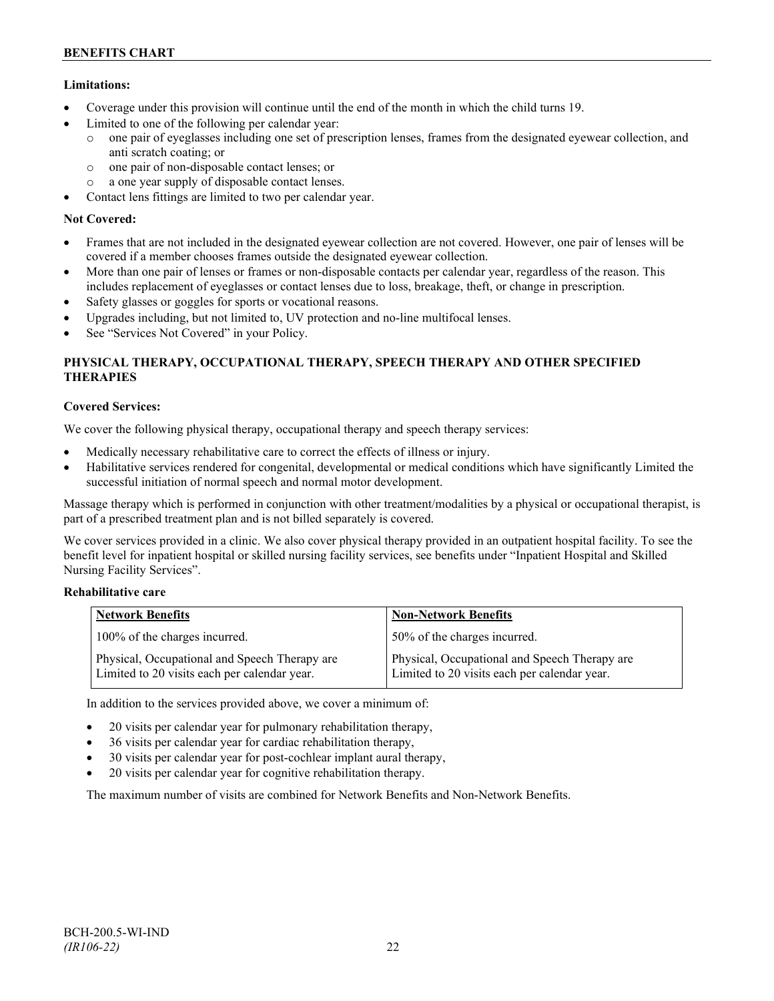# **Limitations:**

- Coverage under this provision will continue until the end of the month in which the child turns 19.
- Limited to one of the following per calendar year:
	- o one pair of eyeglasses including one set of prescription lenses, frames from the designated eyewear collection, and anti scratch coating; or
	- o one pair of non-disposable contact lenses; or
	- o a one year supply of disposable contact lenses.
- Contact lens fittings are limited to two per calendar year.

# **Not Covered:**

- Frames that are not included in the designated eyewear collection are not covered. However, one pair of lenses will be covered if a member chooses frames outside the designated eyewear collection.
- More than one pair of lenses or frames or non-disposable contacts per calendar year, regardless of the reason. This includes replacement of eyeglasses or contact lenses due to loss, breakage, theft, or change in prescription.
- Safety glasses or goggles for sports or vocational reasons.
- Upgrades including, but not limited to, UV protection and no-line multifocal lenses.
- See "Services Not Covered" in your Policy.

# **PHYSICAL THERAPY, OCCUPATIONAL THERAPY, SPEECH THERAPY AND OTHER SPECIFIED THERAPIES**

# **Covered Services:**

We cover the following physical therapy, occupational therapy and speech therapy services:

- Medically necessary rehabilitative care to correct the effects of illness or injury.
- Habilitative services rendered for congenital, developmental or medical conditions which have significantly Limited the successful initiation of normal speech and normal motor development.

Massage therapy which is performed in conjunction with other treatment/modalities by a physical or occupational therapist, is part of a prescribed treatment plan and is not billed separately is covered.

We cover services provided in a clinic. We also cover physical therapy provided in an outpatient hospital facility. To see the benefit level for inpatient hospital or skilled nursing facility services, see benefits under "Inpatient Hospital and Skilled Nursing Facility Services".

### **Rehabilitative care**

| <b>Network Benefits</b>                                                                       | <b>Non-Network Benefits</b>                                                                   |
|-----------------------------------------------------------------------------------------------|-----------------------------------------------------------------------------------------------|
| 100% of the charges incurred.                                                                 | 50% of the charges incurred.                                                                  |
| Physical, Occupational and Speech Therapy are<br>Limited to 20 visits each per calendar year. | Physical, Occupational and Speech Therapy are<br>Limited to 20 visits each per calendar year. |

In addition to the services provided above, we cover a minimum of:

- 20 visits per calendar year for pulmonary rehabilitation therapy,
- 36 visits per calendar year for cardiac rehabilitation therapy,
- 30 visits per calendar year for post-cochlear implant aural therapy,
- 20 visits per calendar year for cognitive rehabilitation therapy.

The maximum number of visits are combined for Network Benefits and Non-Network Benefits.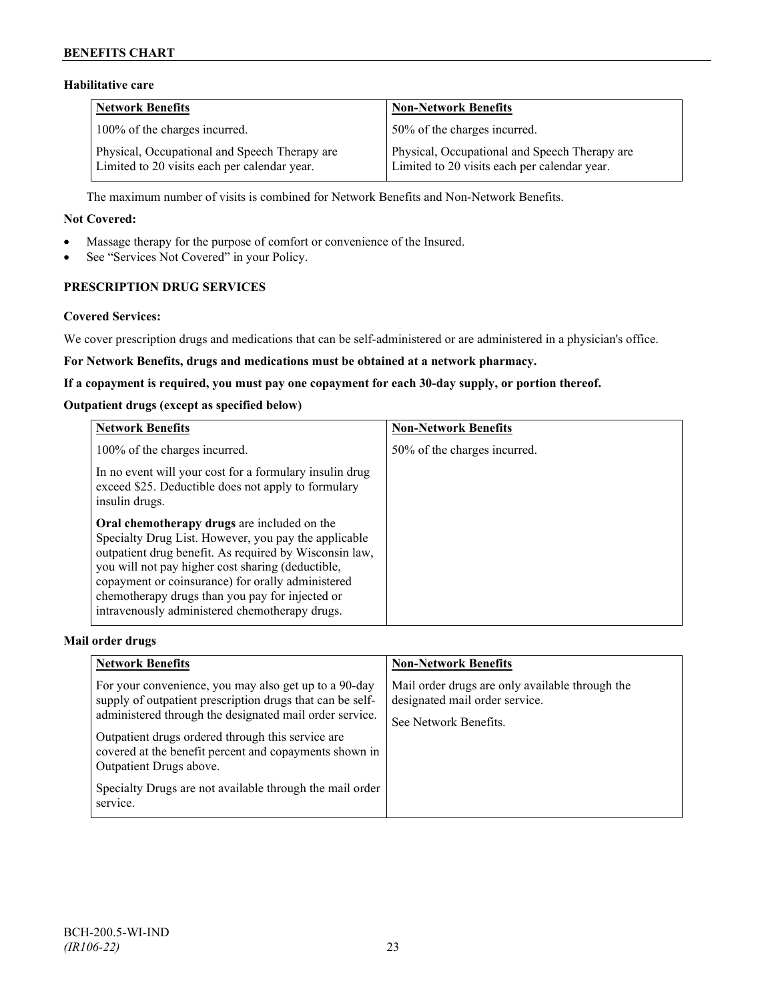# **Habilitative care**

| <b>Network Benefits</b>                                                                       | <b>Non-Network Benefits</b>                                                                   |
|-----------------------------------------------------------------------------------------------|-----------------------------------------------------------------------------------------------|
| 100% of the charges incurred.                                                                 | 50% of the charges incurred.                                                                  |
| Physical, Occupational and Speech Therapy are<br>Limited to 20 visits each per calendar year. | Physical, Occupational and Speech Therapy are<br>Limited to 20 visits each per calendar year. |

The maximum number of visits is combined for Network Benefits and Non-Network Benefits.

#### **Not Covered:**

- Massage therapy for the purpose of comfort or convenience of the Insured.
- See "Services Not Covered" in your Policy.

# **PRESCRIPTION DRUG SERVICES**

#### **Covered Services:**

We cover prescription drugs and medications that can be self-administered or are administered in a physician's office.

### **For Network Benefits, drugs and medications must be obtained at a network pharmacy.**

#### **If a copayment is required, you must pay one copayment for each 30-day supply, or portion thereof.**

### **Outpatient drugs (except as specified below)**

| <b>Network Benefits</b>                                                                                                                                                                                                                                                                                                                                                      | <b>Non-Network Benefits</b>  |
|------------------------------------------------------------------------------------------------------------------------------------------------------------------------------------------------------------------------------------------------------------------------------------------------------------------------------------------------------------------------------|------------------------------|
| 100% of the charges incurred.                                                                                                                                                                                                                                                                                                                                                | 50% of the charges incurred. |
| In no event will your cost for a formulary insulin drug<br>exceed \$25. Deductible does not apply to formulary<br>insulin drugs.                                                                                                                                                                                                                                             |                              |
| Oral chemotherapy drugs are included on the<br>Specialty Drug List. However, you pay the applicable<br>outpatient drug benefit. As required by Wisconsin law,<br>you will not pay higher cost sharing (deductible,<br>copayment or coinsurance) for orally administered<br>chemotherapy drugs than you pay for injected or<br>intravenously administered chemotherapy drugs. |                              |

### **Mail order drugs**

| <b>Network Benefits</b>                                                                                                                                                                                                                                                                                                                                                                         | <b>Non-Network Benefits</b>                                                                                |
|-------------------------------------------------------------------------------------------------------------------------------------------------------------------------------------------------------------------------------------------------------------------------------------------------------------------------------------------------------------------------------------------------|------------------------------------------------------------------------------------------------------------|
| For your convenience, you may also get up to a 90-day<br>supply of outpatient prescription drugs that can be self-<br>administered through the designated mail order service.<br>Outpatient drugs ordered through this service are<br>covered at the benefit percent and copayments shown in<br>Outpatient Drugs above.<br>Specialty Drugs are not available through the mail order<br>service. | Mail order drugs are only available through the<br>designated mail order service.<br>See Network Benefits. |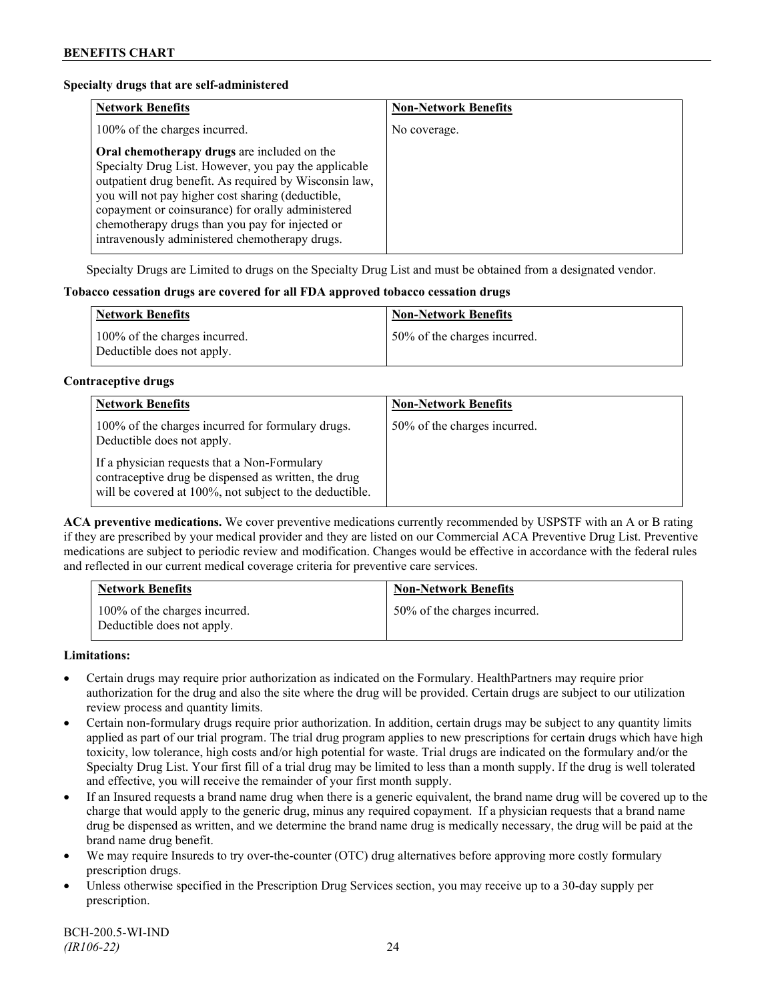### **Specialty drugs that are self-administered**

| <b>Network Benefits</b>                                                                                                                                                                                                                                                                                                                                                      | <b>Non-Network Benefits</b> |
|------------------------------------------------------------------------------------------------------------------------------------------------------------------------------------------------------------------------------------------------------------------------------------------------------------------------------------------------------------------------------|-----------------------------|
| 100% of the charges incurred.                                                                                                                                                                                                                                                                                                                                                | No coverage.                |
| Oral chemotherapy drugs are included on the<br>Specialty Drug List. However, you pay the applicable<br>outpatient drug benefit. As required by Wisconsin law,<br>you will not pay higher cost sharing (deductible,<br>copayment or coinsurance) for orally administered<br>chemotherapy drugs than you pay for injected or<br>intravenously administered chemotherapy drugs. |                             |

Specialty Drugs are Limited to drugs on the Specialty Drug List and must be obtained from a designated vendor.

#### **Tobacco cessation drugs are covered for all FDA approved tobacco cessation drugs**

| <b>Network Benefits</b>                                     | <b>Non-Network Benefits</b>  |
|-------------------------------------------------------------|------------------------------|
| 100% of the charges incurred.<br>Deductible does not apply. | 50% of the charges incurred. |

#### **Contraceptive drugs**

| <b>Network Benefits</b>                                                                                                                                         | <b>Non-Network Benefits</b>  |
|-----------------------------------------------------------------------------------------------------------------------------------------------------------------|------------------------------|
| 100% of the charges incurred for formulary drugs.<br>Deductible does not apply.                                                                                 | 50% of the charges incurred. |
| If a physician requests that a Non-Formulary<br>contraceptive drug be dispensed as written, the drug<br>will be covered at 100%, not subject to the deductible. |                              |

**ACA preventive medications.** We cover preventive medications currently recommended by USPSTF with an A or B rating if they are prescribed by your medical provider and they are listed on our Commercial ACA Preventive Drug List. Preventive medications are subject to periodic review and modification. Changes would be effective in accordance with the federal rules and reflected in our current medical coverage criteria for preventive care services.

| <b>Network Benefits</b>                                     | <b>Non-Network Benefits</b>  |
|-------------------------------------------------------------|------------------------------|
| 100% of the charges incurred.<br>Deductible does not apply. | 50% of the charges incurred. |

#### **Limitations:**

- Certain drugs may require prior authorization as indicated on the Formulary. HealthPartners may require prior authorization for the drug and also the site where the drug will be provided. Certain drugs are subject to our utilization review process and quantity limits.
- Certain non-formulary drugs require prior authorization. In addition, certain drugs may be subject to any quantity limits applied as part of our trial program. The trial drug program applies to new prescriptions for certain drugs which have high toxicity, low tolerance, high costs and/or high potential for waste. Trial drugs are indicated on the formulary and/or the Specialty Drug List. Your first fill of a trial drug may be limited to less than a month supply. If the drug is well tolerated and effective, you will receive the remainder of your first month supply.
- If an Insured requests a brand name drug when there is a generic equivalent, the brand name drug will be covered up to the charge that would apply to the generic drug, minus any required copayment. If a physician requests that a brand name drug be dispensed as written, and we determine the brand name drug is medically necessary, the drug will be paid at the brand name drug benefit.
- We may require Insureds to try over-the-counter (OTC) drug alternatives before approving more costly formulary prescription drugs.
- Unless otherwise specified in the Prescription Drug Services section, you may receive up to a 30-day supply per prescription.

BCH-200.5-WI-IND *(IR106-22)* 24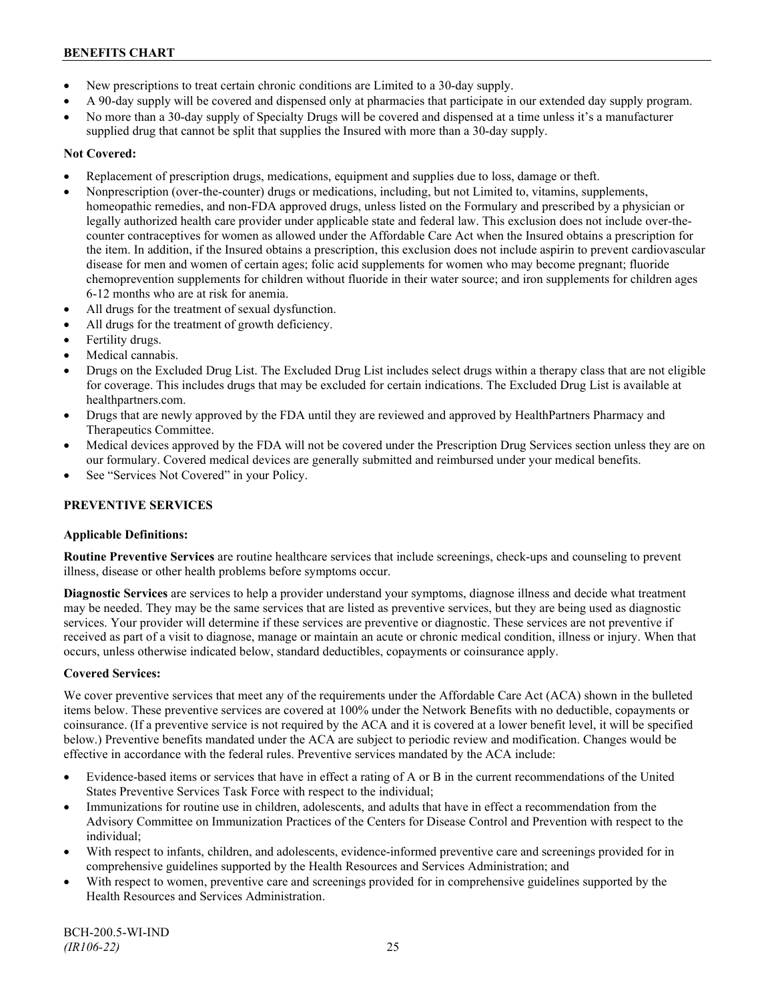- New prescriptions to treat certain chronic conditions are Limited to a 30-day supply.
- A 90-day supply will be covered and dispensed only at pharmacies that participate in our extended day supply program.
- No more than a 30-day supply of Specialty Drugs will be covered and dispensed at a time unless it's a manufacturer supplied drug that cannot be split that supplies the Insured with more than a 30-day supply.

# **Not Covered:**

- Replacement of prescription drugs, medications, equipment and supplies due to loss, damage or theft.
- Nonprescription (over-the-counter) drugs or medications, including, but not Limited to, vitamins, supplements, homeopathic remedies, and non-FDA approved drugs, unless listed on the Formulary and prescribed by a physician or legally authorized health care provider under applicable state and federal law. This exclusion does not include over-thecounter contraceptives for women as allowed under the Affordable Care Act when the Insured obtains a prescription for the item. In addition, if the Insured obtains a prescription, this exclusion does not include aspirin to prevent cardiovascular disease for men and women of certain ages; folic acid supplements for women who may become pregnant; fluoride chemoprevention supplements for children without fluoride in their water source; and iron supplements for children ages 6-12 months who are at risk for anemia.
- All drugs for the treatment of sexual dysfunction.
- All drugs for the treatment of growth deficiency.
- Fertility drugs.
- Medical cannabis.
- Drugs on the Excluded Drug List. The Excluded Drug List includes select drugs within a therapy class that are not eligible for coverage. This includes drugs that may be excluded for certain indications. The Excluded Drug List is available at [healthpartners.com.](http://www.healthpartners.com/)
- Drugs that are newly approved by the FDA until they are reviewed and approved by HealthPartners Pharmacy and Therapeutics Committee.
- Medical devices approved by the FDA will not be covered under the Prescription Drug Services section unless they are on our formulary. Covered medical devices are generally submitted and reimbursed under your medical benefits.
- See "Services Not Covered" in your Policy.

# **PREVENTIVE SERVICES**

### **Applicable Definitions:**

**Routine Preventive Services** are routine healthcare services that include screenings, check-ups and counseling to prevent illness, disease or other health problems before symptoms occur.

**Diagnostic Services** are services to help a provider understand your symptoms, diagnose illness and decide what treatment may be needed. They may be the same services that are listed as preventive services, but they are being used as diagnostic services. Your provider will determine if these services are preventive or diagnostic. These services are not preventive if received as part of a visit to diagnose, manage or maintain an acute or chronic medical condition, illness or injury. When that occurs, unless otherwise indicated below, standard deductibles, copayments or coinsurance apply.

### **Covered Services:**

We cover preventive services that meet any of the requirements under the Affordable Care Act (ACA) shown in the bulleted items below. These preventive services are covered at 100% under the Network Benefits with no deductible, copayments or coinsurance. (If a preventive service is not required by the ACA and it is covered at a lower benefit level, it will be specified below.) Preventive benefits mandated under the ACA are subject to periodic review and modification. Changes would be effective in accordance with the federal rules. Preventive services mandated by the ACA include:

- Evidence-based items or services that have in effect a rating of A or B in the current recommendations of the United States Preventive Services Task Force with respect to the individual;
- Immunizations for routine use in children, adolescents, and adults that have in effect a recommendation from the Advisory Committee on Immunization Practices of the Centers for Disease Control and Prevention with respect to the individual;
- With respect to infants, children, and adolescents, evidence-informed preventive care and screenings provided for in comprehensive guidelines supported by the Health Resources and Services Administration; and
- With respect to women, preventive care and screenings provided for in comprehensive guidelines supported by the Health Resources and Services Administration.

BCH-200.5-WI-IND *(IR106-22)* 25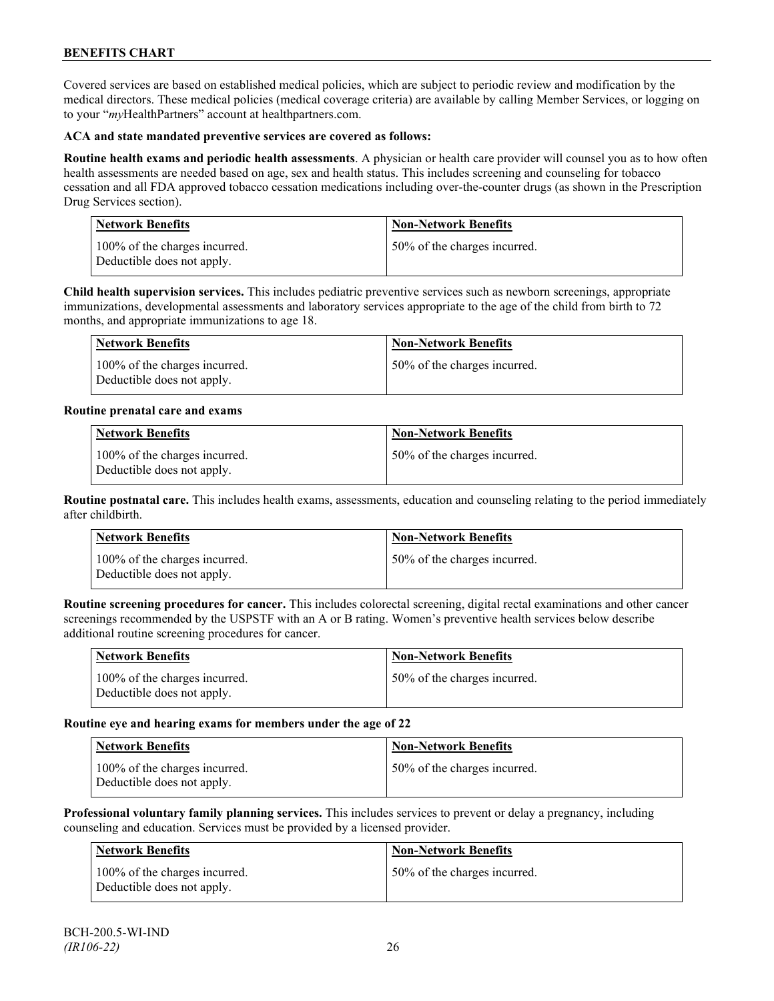Covered services are based on established medical policies, which are subject to periodic review and modification by the medical directors. These medical policies (medical coverage criteria) are available by calling Member Services, or logging on to your "*my*HealthPartners" account at [healthpartners.com.](http://www.healthpartners.com/)

### **ACA and state mandated preventive services are covered as follows:**

**Routine health exams and periodic health assessments**. A physician or health care provider will counsel you as to how often health assessments are needed based on age, sex and health status. This includes screening and counseling for tobacco cessation and all FDA approved tobacco cessation medications including over-the-counter drugs (as shown in the Prescription Drug Services section).

| <b>Network Benefits</b>                                     | Non-Network Benefits         |
|-------------------------------------------------------------|------------------------------|
| 100% of the charges incurred.<br>Deductible does not apply. | 50% of the charges incurred. |

**Child health supervision services.** This includes pediatric preventive services such as newborn screenings, appropriate immunizations, developmental assessments and laboratory services appropriate to the age of the child from birth to 72 months, and appropriate immunizations to age 18.

| <b>Network Benefits</b>                                     | <b>Non-Network Benefits</b>  |
|-------------------------------------------------------------|------------------------------|
| 100% of the charges incurred.<br>Deductible does not apply. | 50% of the charges incurred. |

### **Routine prenatal care and exams**

| <b>Network Benefits</b>                                     | <b>Non-Network Benefits</b>  |
|-------------------------------------------------------------|------------------------------|
| 100% of the charges incurred.<br>Deductible does not apply. | 50% of the charges incurred. |

**Routine postnatal care.** This includes health exams, assessments, education and counseling relating to the period immediately after childbirth.

| <b>Network Benefits</b>                                     | <b>Non-Network Benefits</b>  |
|-------------------------------------------------------------|------------------------------|
| 100% of the charges incurred.<br>Deductible does not apply. | 50% of the charges incurred. |

**Routine screening procedures for cancer.** This includes colorectal screening, digital rectal examinations and other cancer screenings recommended by the USPSTF with an A or B rating. Women's preventive health services below describe additional routine screening procedures for cancer.

| Network Benefits                                            | <b>Non-Network Benefits</b>  |
|-------------------------------------------------------------|------------------------------|
| 100% of the charges incurred.<br>Deductible does not apply. | 50% of the charges incurred. |

### **Routine eye and hearing exams for members under the age of 22**

| <b>Network Benefits</b>                                     | <b>Non-Network Benefits</b>   |
|-------------------------------------------------------------|-------------------------------|
| 100% of the charges incurred.<br>Deductible does not apply. | 150% of the charges incurred. |

**Professional voluntary family planning services.** This includes services to prevent or delay a pregnancy, including counseling and education. Services must be provided by a licensed provider.

| Network Benefits                                            | <b>Non-Network Benefits</b>  |
|-------------------------------------------------------------|------------------------------|
| 100% of the charges incurred.<br>Deductible does not apply. | 50% of the charges incurred. |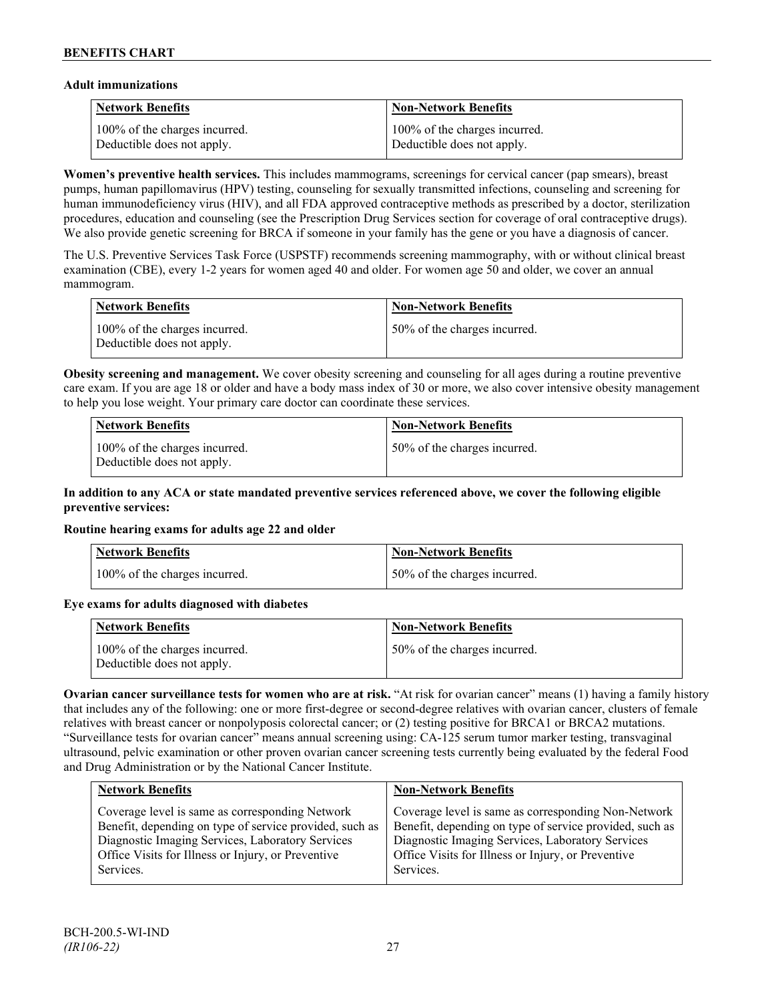### **Adult immunizations**

| <b>Network Benefits</b>       | <b>Non-Network Benefits</b>   |
|-------------------------------|-------------------------------|
| 100% of the charges incurred. | 100% of the charges incurred. |
| Deductible does not apply.    | Deductible does not apply.    |

**Women's preventive health services.** This includes mammograms, screenings for cervical cancer (pap smears), breast pumps, human papillomavirus (HPV) testing, counseling for sexually transmitted infections, counseling and screening for human immunodeficiency virus (HIV), and all FDA approved contraceptive methods as prescribed by a doctor, sterilization procedures, education and counseling (see the Prescription Drug Services section for coverage of oral contraceptive drugs). We also provide genetic screening for BRCA if someone in your family has the gene or you have a diagnosis of cancer.

The U.S. Preventive Services Task Force (USPSTF) recommends screening mammography, with or without clinical breast examination (CBE), every 1-2 years for women aged 40 and older. For women age 50 and older, we cover an annual mammogram.

| <b>Network Benefits</b>                                     | <b>Non-Network Benefits</b>  |
|-------------------------------------------------------------|------------------------------|
| 100% of the charges incurred.<br>Deductible does not apply. | 50% of the charges incurred. |

**Obesity screening and management.** We cover obesity screening and counseling for all ages during a routine preventive care exam. If you are age 18 or older and have a body mass index of 30 or more, we also cover intensive obesity management to help you lose weight. Your primary care doctor can coordinate these services.

| Network Benefits                                            | <b>Non-Network Benefits</b>  |
|-------------------------------------------------------------|------------------------------|
| 100% of the charges incurred.<br>Deductible does not apply. | 50% of the charges incurred. |

### **In addition to any ACA or state mandated preventive services referenced above, we cover the following eligible preventive services:**

### **Routine hearing exams for adults age 22 and older**

| Network Benefits              | <b>Non-Network Benefits</b>  |
|-------------------------------|------------------------------|
| 100% of the charges incurred. | 50% of the charges incurred. |

# **Eye exams for adults diagnosed with diabetes**

| Network Benefits                                            | <b>Non-Network Benefits</b>  |
|-------------------------------------------------------------|------------------------------|
| 100% of the charges incurred.<br>Deductible does not apply. | 50% of the charges incurred. |

**Ovarian cancer surveillance tests for women who are at risk.** "At risk for ovarian cancer" means (1) having a family history that includes any of the following: one or more first-degree or second-degree relatives with ovarian cancer, clusters of female relatives with breast cancer or nonpolyposis colorectal cancer; or (2) testing positive for BRCA1 or BRCA2 mutations. "Surveillance tests for ovarian cancer" means annual screening using: CA-125 serum tumor marker testing, transvaginal ultrasound, pelvic examination or other proven ovarian cancer screening tests currently being evaluated by the federal Food and Drug Administration or by the National Cancer Institute.

| <b>Network Benefits</b>                                                                                                                                                                                                           | <b>Non-Network Benefits</b>                                                                                                                                                                                                           |
|-----------------------------------------------------------------------------------------------------------------------------------------------------------------------------------------------------------------------------------|---------------------------------------------------------------------------------------------------------------------------------------------------------------------------------------------------------------------------------------|
| Coverage level is same as corresponding Network<br>Benefit, depending on type of service provided, such as<br>Diagnostic Imaging Services, Laboratory Services<br>Office Visits for Illness or Injury, or Preventive<br>Services. | Coverage level is same as corresponding Non-Network<br>Benefit, depending on type of service provided, such as<br>Diagnostic Imaging Services, Laboratory Services<br>Office Visits for Illness or Injury, or Preventive<br>Services. |
|                                                                                                                                                                                                                                   |                                                                                                                                                                                                                                       |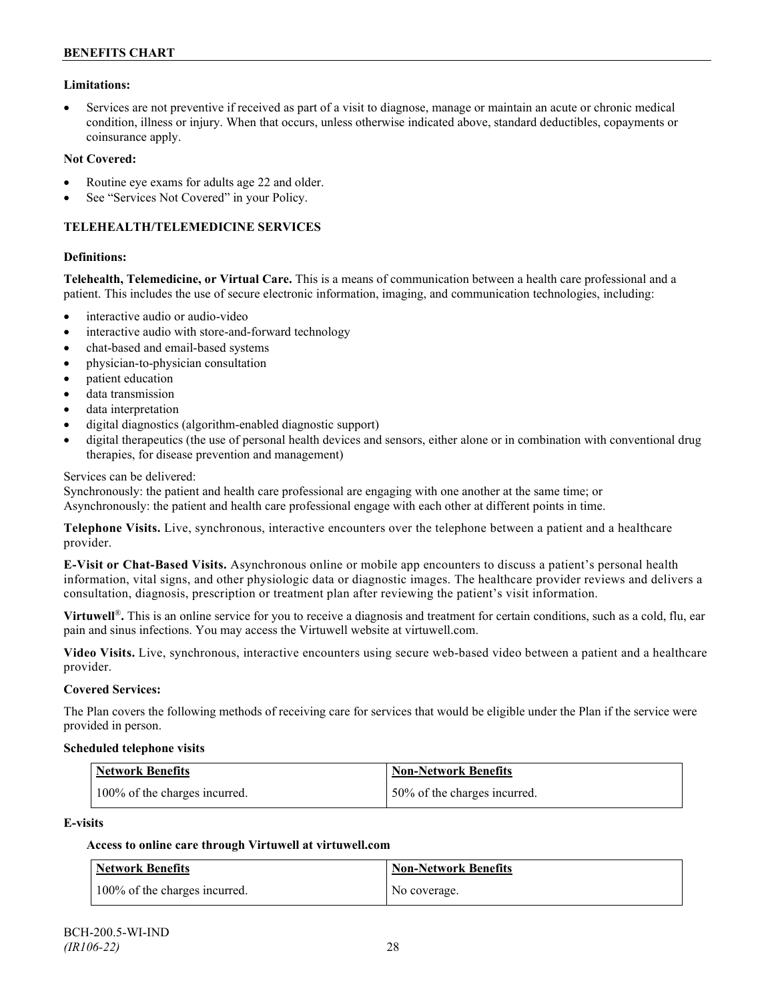### **Limitations:**

• Services are not preventive if received as part of a visit to diagnose, manage or maintain an acute or chronic medical condition, illness or injury. When that occurs, unless otherwise indicated above, standard deductibles, copayments or coinsurance apply.

#### **Not Covered:**

- Routine eye exams for adults age 22 and older.
- See "Services Not Covered" in your Policy.

### **TELEHEALTH/TELEMEDICINE SERVICES**

#### **Definitions:**

**Telehealth, Telemedicine, or Virtual Care.** This is a means of communication between a health care professional and a patient. This includes the use of secure electronic information, imaging, and communication technologies, including:

- interactive audio or audio-video
- interactive audio with store-and-forward technology
- chat-based and email-based systems
- physician-to-physician consultation
- patient education
- data transmission
- data interpretation
- digital diagnostics (algorithm-enabled diagnostic support)
- digital therapeutics (the use of personal health devices and sensors, either alone or in combination with conventional drug therapies, for disease prevention and management)

#### Services can be delivered:

Synchronously: the patient and health care professional are engaging with one another at the same time; or Asynchronously: the patient and health care professional engage with each other at different points in time.

**Telephone Visits.** Live, synchronous, interactive encounters over the telephone between a patient and a healthcare provider.

**E-Visit or Chat-Based Visits.** Asynchronous online or mobile app encounters to discuss a patient's personal health information, vital signs, and other physiologic data or diagnostic images. The healthcare provider reviews and delivers a consultation, diagnosis, prescription or treatment plan after reviewing the patient's visit information.

**Virtuwell<sup>®</sup>**. This is an online service for you to receive a diagnosis and treatment for certain conditions, such as a cold, flu, ear pain and sinus infections. You may access the Virtuwell website at [virtuwell.com.](https://www.virtuwell.com/)

**Video Visits.** Live, synchronous, interactive encounters using secure web-based video between a patient and a healthcare provider.

#### **Covered Services:**

The Plan covers the following methods of receiving care for services that would be eligible under the Plan if the service were provided in person.

#### **Scheduled telephone visits**

| <b>Network Benefits</b>       | Non-Network Benefits         |
|-------------------------------|------------------------------|
| 100% of the charges incurred. | 50% of the charges incurred. |

#### **E-visits**

### **Access to online care through Virtuwell at [virtuwell.com](http://www.virtuwell.com/)**

| Network Benefits              | Non-Network Benefits |
|-------------------------------|----------------------|
| 100% of the charges incurred. | No coverage.         |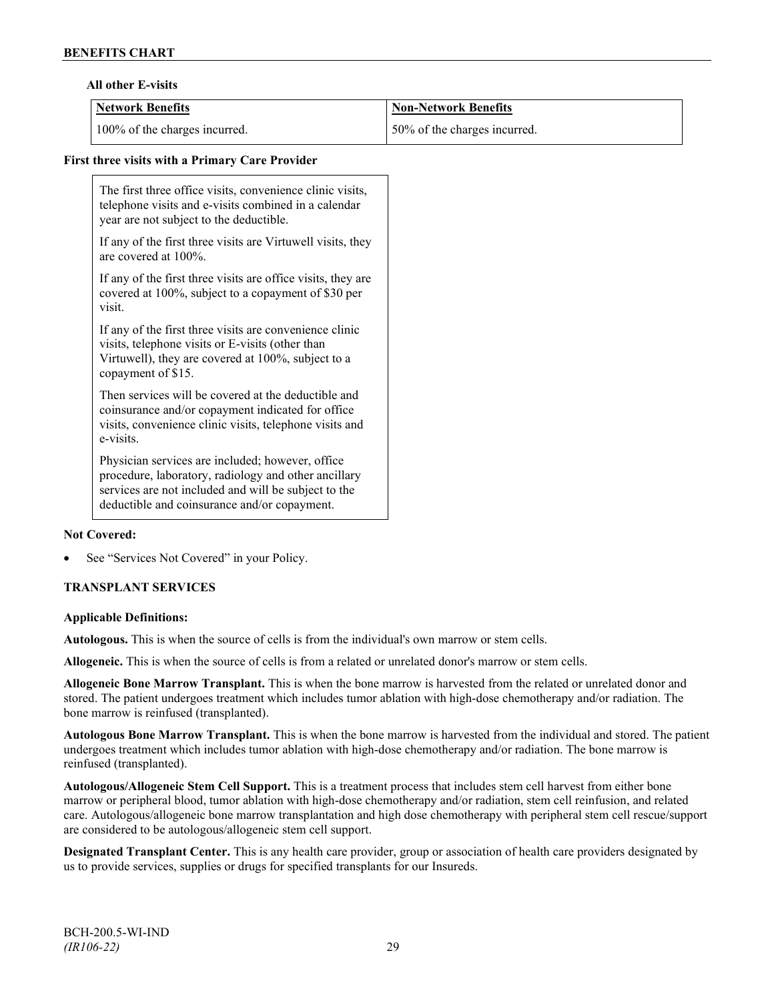### **All other E-visits**

| Network Benefits              | <b>Non-Network Benefits</b>  |
|-------------------------------|------------------------------|
| 100% of the charges incurred. | 50% of the charges incurred. |

### **First three visits with a Primary Care Provider**

The first three office visits, convenience clinic visits, telephone visits and e-visits combined in a calendar year are not subject to the deductible.

If any of the first three visits are Virtuwell visits, they are covered at 100%.

If any of the first three visits are office visits, they are covered at 100%, subject to a copayment of \$30 per visit.

If any of the first three visits are convenience clinic visits, telephone visits or E-visits (other than Virtuwell), they are covered at 100%, subject to a copayment of \$15.

Then services will be covered at the deductible and coinsurance and/or copayment indicated for office visits, convenience clinic visits, telephone visits and e-visits.

Physician services are included; however, office procedure, laboratory, radiology and other ancillary services are not included and will be subject to the deductible and coinsurance and/or copayment.

### **Not Covered:**

See "Services Not Covered" in your Policy.

### **TRANSPLANT SERVICES**

#### **Applicable Definitions:**

**Autologous.** This is when the source of cells is from the individual's own marrow or stem cells.

**Allogeneic.** This is when the source of cells is from a related or unrelated donor's marrow or stem cells.

**Allogeneic Bone Marrow Transplant.** This is when the bone marrow is harvested from the related or unrelated donor and stored. The patient undergoes treatment which includes tumor ablation with high-dose chemotherapy and/or radiation. The bone marrow is reinfused (transplanted).

**Autologous Bone Marrow Transplant.** This is when the bone marrow is harvested from the individual and stored. The patient undergoes treatment which includes tumor ablation with high-dose chemotherapy and/or radiation. The bone marrow is reinfused (transplanted).

**Autologous/Allogeneic Stem Cell Support.** This is a treatment process that includes stem cell harvest from either bone marrow or peripheral blood, tumor ablation with high-dose chemotherapy and/or radiation, stem cell reinfusion, and related care. Autologous/allogeneic bone marrow transplantation and high dose chemotherapy with peripheral stem cell rescue/support are considered to be autologous/allogeneic stem cell support.

**Designated Transplant Center.** This is any health care provider, group or association of health care providers designated by us to provide services, supplies or drugs for specified transplants for our Insureds.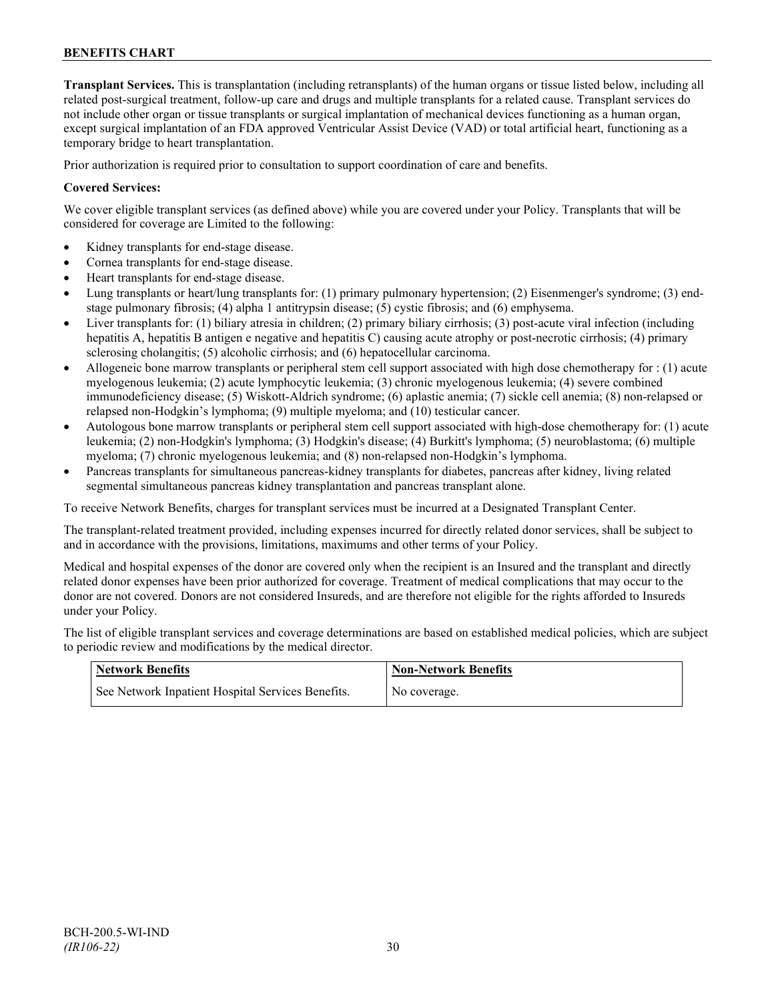**Transplant Services.** This is transplantation (including retransplants) of the human organs or tissue listed below, including all related post-surgical treatment, follow-up care and drugs and multiple transplants for a related cause. Transplant services do not include other organ or tissue transplants or surgical implantation of mechanical devices functioning as a human organ, except surgical implantation of an FDA approved Ventricular Assist Device (VAD) or total artificial heart, functioning as a temporary bridge to heart transplantation.

Prior authorization is required prior to consultation to support coordination of care and benefits.

### **Covered Services:**

We cover eligible transplant services (as defined above) while you are covered under your Policy. Transplants that will be considered for coverage are Limited to the following:

- Kidney transplants for end-stage disease.
- Cornea transplants for end-stage disease.
- Heart transplants for end-stage disease.
- Lung transplants or heart/lung transplants for: (1) primary pulmonary hypertension; (2) Eisenmenger's syndrome; (3) endstage pulmonary fibrosis; (4) alpha 1 antitrypsin disease; (5) cystic fibrosis; and (6) emphysema.
- Liver transplants for: (1) biliary atresia in children; (2) primary biliary cirrhosis; (3) post-acute viral infection (including hepatitis A, hepatitis B antigen e negative and hepatitis C) causing acute atrophy or post-necrotic cirrhosis; (4) primary sclerosing cholangitis; (5) alcoholic cirrhosis; and (6) hepatocellular carcinoma.
- Allogeneic bone marrow transplants or peripheral stem cell support associated with high dose chemotherapy for : (1) acute myelogenous leukemia; (2) acute lymphocytic leukemia; (3) chronic myelogenous leukemia; (4) severe combined immunodeficiency disease; (5) Wiskott-Aldrich syndrome; (6) aplastic anemia; (7) sickle cell anemia; (8) non-relapsed or relapsed non-Hodgkin's lymphoma; (9) multiple myeloma; and (10) testicular cancer.
- Autologous bone marrow transplants or peripheral stem cell support associated with high-dose chemotherapy for: (1) acute leukemia; (2) non-Hodgkin's lymphoma; (3) Hodgkin's disease; (4) Burkitt's lymphoma; (5) neuroblastoma; (6) multiple myeloma; (7) chronic myelogenous leukemia; and (8) non-relapsed non-Hodgkin's lymphoma.
- Pancreas transplants for simultaneous pancreas-kidney transplants for diabetes, pancreas after kidney, living related segmental simultaneous pancreas kidney transplantation and pancreas transplant alone.

To receive Network Benefits, charges for transplant services must be incurred at a Designated Transplant Center.

The transplant-related treatment provided, including expenses incurred for directly related donor services, shall be subject to and in accordance with the provisions, limitations, maximums and other terms of your Policy.

Medical and hospital expenses of the donor are covered only when the recipient is an Insured and the transplant and directly related donor expenses have been prior authorized for coverage. Treatment of medical complications that may occur to the donor are not covered. Donors are not considered Insureds, and are therefore not eligible for the rights afforded to Insureds under your Policy.

The list of eligible transplant services and coverage determinations are based on established medical policies, which are subject to periodic review and modifications by the medical director.

| Network Benefits                                  | <b>Non-Network Benefits</b> |
|---------------------------------------------------|-----------------------------|
| See Network Inpatient Hospital Services Benefits. | No coverage.                |